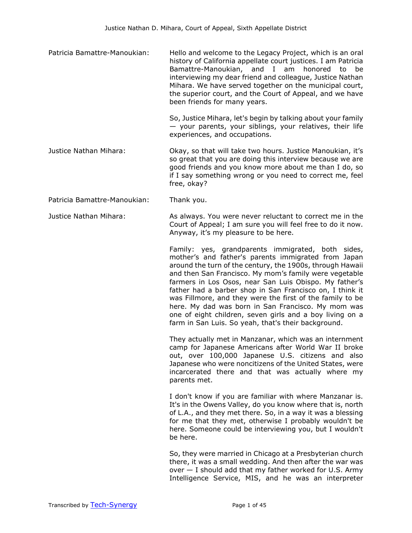Patricia Bamattre-Manoukian: Hello and welcome to the Legacy Project, which is an oral history of California appellate court justices. I am Patricia Bamattre-Manoukian, and I am honored to be interviewing my dear friend and colleague, Justice Nathan Mihara. We have served together on the municipal court, the superior court, and the Court of Appeal, and we have been friends for many years.

> So, Justice Mihara, let's begin by talking about your family — your parents, your siblings, your relatives, their life experiences, and occupations.

- Justice Nathan Mihara: Okay, so that will take two hours. Justice Manoukian, it's so great that you are doing this interview because we are good friends and you know more about me than I do, so if I say something wrong or you need to correct me, feel free, okay?
- Patricia Bamattre-Manoukian: Thank you.

Justice Nathan Mihara: As always. You were never reluctant to correct me in the Court of Appeal; I am sure you will feel free to do it now. Anyway, it's my pleasure to be here.

> Family: yes, grandparents immigrated, both sides, mother's and father's parents immigrated from Japan around the turn of the century, the 1900s, through Hawaii and then San Francisco. My mom's family were vegetable farmers in Los Osos, near San Luis Obispo. My father's father had a barber shop in San Francisco on, I think it was Fillmore, and they were the first of the family to be here. My dad was born in San Francisco. My mom was one of eight children, seven girls and a boy living on a farm in San Luis. So yeah, that's their background.

> They actually met in Manzanar, which was an internment camp for Japanese Americans after World War II broke out, over 100,000 Japanese U.S. citizens and also Japanese who were noncitizens of the United States, were incarcerated there and that was actually where my parents met.

> I don't know if you are familiar with where Manzanar is. It's in the Owens Valley, do you know where that is, north of L.A., and they met there. So, in a way it was a blessing for me that they met, otherwise I probably wouldn't be here. Someone could be interviewing you, but I wouldn't be here.

> So, they were married in Chicago at a Presbyterian church there, it was a small wedding. And then after the war was over — I should add that my father worked for U.S. Army Intelligence Service, MIS, and he was an interpreter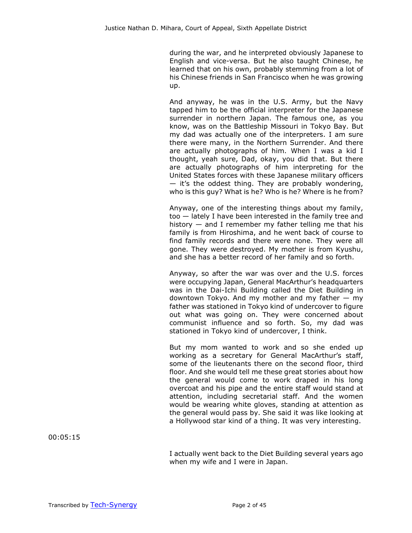during the war, and he interpreted obviously Japanese to English and vice-versa. But he also taught Chinese, he learned that on his own, probably stemming from a lot of his Chinese friends in San Francisco when he was growing up.

And anyway, he was in the U.S. Army, but the Navy tapped him to be the official interpreter for the Japanese surrender in northern Japan. The famous one, as you know, was on the Battleship Missouri in Tokyo Bay. But my dad was actually one of the interpreters. I am sure there were many, in the Northern Surrender. And there are actually photographs of him. When I was a kid I thought, yeah sure, Dad, okay, you did that. But there are actually photographs of him interpreting for the United States forces with these Japanese military officers — it's the oddest thing. They are probably wondering, who is this guy? What is he? Who is he? Where is he from?

Anyway, one of the interesting things about my family, too — lately I have been interested in the family tree and history  $-$  and I remember my father telling me that his family is from Hiroshima, and he went back of course to find family records and there were none. They were all gone. They were destroyed. My mother is from Kyushu, and she has a better record of her family and so forth.

Anyway, so after the war was over and the U.S. forces were occupying Japan, General MacArthur's headquarters was in the Dai-Ichi Building called the Diet Building in downtown Tokyo. And my mother and my father  $-$  my father was stationed in Tokyo kind of undercover to figure out what was going on. They were concerned about communist influence and so forth. So, my dad was stationed in Tokyo kind of undercover, I think.

But my mom wanted to work and so she ended up working as a secretary for General MacArthur's staff, some of the lieutenants there on the second floor, third floor. And she would tell me these great stories about how the general would come to work draped in his long overcoat and his pipe and the entire staff would stand at attention, including secretarial staff. And the women would be wearing white gloves, standing at attention as the general would pass by. She said it was like looking at a Hollywood star kind of a thing. It was very interesting.

00:05:15

I actually went back to the Diet Building several years ago when my wife and I were in Japan.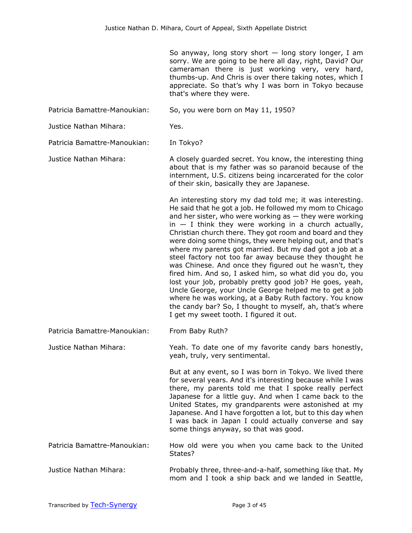So anyway, long story short  $-$  long story longer, I am sorry. We are going to be here all day, right, David? Our cameraman there is just working very, very hard, thumbs-up. And Chris is over there taking notes, which I appreciate. So that's why I was born in Tokyo because that's where they were.

Patricia Bamattre-Manoukian: So, you were born on May 11, 1950?

Justice Nathan Mihara: Yes.

Patricia Bamattre-Manoukian: In Tokyo?

Justice Nathan Mihara: A closely guarded secret. You know, the interesting thing about that is my father was so paranoid because of the internment, U.S. citizens being incarcerated for the color of their skin, basically they are Japanese.

> An interesting story my dad told me; it was interesting. He said that he got a job. He followed my mom to Chicago and her sister, who were working as  $-$  they were working  $in - I$  think they were working in a church actually, Christian church there. They got room and board and they were doing some things, they were helping out, and that's where my parents got married. But my dad got a job at a steel factory not too far away because they thought he was Chinese. And once they figured out he wasn't, they fired him. And so, I asked him, so what did you do, you lost your job, probably pretty good job? He goes, yeah, Uncle George, your Uncle George helped me to get a job where he was working, at a Baby Ruth factory. You know the candy bar? So, I thought to myself, ah, that's where I get my sweet tooth. I figured it out.

Patricia Bamattre-Manoukian: From Baby Ruth?

Justice Nathan Mihara: Yeah. To date one of my favorite candy bars honestly, yeah, truly, very sentimental.

> But at any event, so I was born in Tokyo. We lived there for several years. And it's interesting because while I was there, my parents told me that I spoke really perfect Japanese for a little guy. And when I came back to the United States, my grandparents were astonished at my Japanese. And I have forgotten a lot, but to this day when I was back in Japan I could actually converse and say some things anyway, so that was good.

Patricia Bamattre-Manoukian: How old were you when you came back to the United States?

Justice Nathan Mihara: Probably three, three-and-a-half, something like that. My mom and I took a ship back and we landed in Seattle,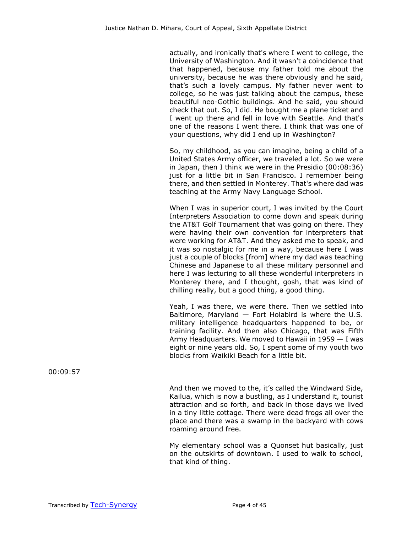actually, and ironically that's where I went to college, the University of Washington. And it wasn't a coincidence that that happened, because my father told me about the university, because he was there obviously and he said, that's such a lovely campus. My father never went to college, so he was just talking about the campus, these beautiful neo-Gothic buildings. And he said, you should check that out. So, I did. He bought me a plane ticket and I went up there and fell in love with Seattle. And that's one of the reasons I went there. I think that was one of your questions, why did I end up in Washington?

So, my childhood, as you can imagine, being a child of a United States Army officer, we traveled a lot. So we were in Japan, then I think we were in the Presidio (00:08:36) just for a little bit in San Francisco. I remember being there, and then settled in Monterey. That's where dad was teaching at the Army Navy Language School.

When I was in superior court, I was invited by the Court Interpreters Association to come down and speak during the AT&T Golf Tournament that was going on there. They were having their own convention for interpreters that were working for AT&T. And they asked me to speak, and it was so nostalgic for me in a way, because here I was just a couple of blocks [from] where my dad was teaching Chinese and Japanese to all these military personnel and here I was lecturing to all these wonderful interpreters in Monterey there, and I thought, gosh, that was kind of chilling really, but a good thing, a good thing.

Yeah, I was there, we were there. Then we settled into Baltimore, Maryland  $-$  Fort Holabird is where the U.S. military intelligence headquarters happened to be, or training facility. And then also Chicago, that was Fifth Army Headquarters. We moved to Hawaii in 1959 — I was eight or nine years old. So, I spent some of my youth two blocks from Waikiki Beach for a little bit.

And then we moved to the, it's called the Windward Side, Kailua, which is now a bustling, as I understand it, tourist attraction and so forth, and back in those days we lived in a tiny little cottage. There were dead frogs all over the place and there was a swamp in the backyard with cows roaming around free.

My elementary school was a Quonset hut basically, just on the outskirts of downtown. I used to walk to school, that kind of thing.

00:09:57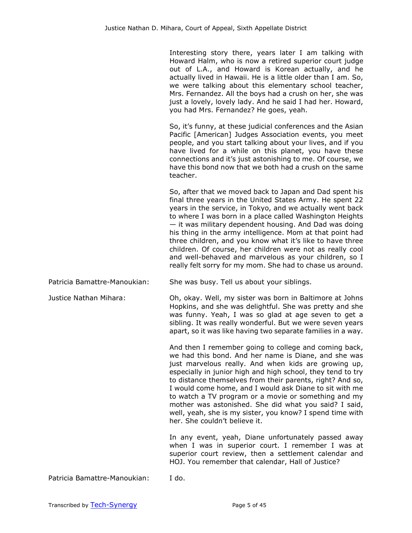Interesting story there, years later I am talking with Howard Halm, who is now a retired superior court judge out of L.A., and Howard is Korean actually, and he actually lived in Hawaii. He is a little older than I am. So, we were talking about this elementary school teacher, Mrs. Fernandez. All the boys had a crush on her, she was just a lovely, lovely lady. And he said I had her. Howard, you had Mrs. Fernandez? He goes, yeah.

So, it's funny, at these judicial conferences and the Asian Pacific [American] Judges Association events, you meet people, and you start talking about your lives, and if you have lived for a while on this planet, you have these connections and it's just astonishing to me. Of course, we have this bond now that we both had a crush on the same teacher.

So, after that we moved back to Japan and Dad spent his final three years in the United States Army. He spent 22 years in the service, in Tokyo, and we actually went back to where I was born in a place called Washington Heights — it was military dependent housing. And Dad was doing his thing in the army intelligence. Mom at that point had three children, and you know what it's like to have three children. Of course, her children were not as really cool and well-behaved and marvelous as your children, so I really felt sorry for my mom. She had to chase us around.

Patricia Bamattre-Manoukian: She was busy. Tell us about your siblings.

Justice Nathan Mihara: Oh, okay. Well, my sister was born in Baltimore at Johns Hopkins, and she was delightful. She was pretty and she was funny. Yeah, I was so glad at age seven to get a sibling. It was really wonderful. But we were seven years apart, so it was like having two separate families in a way.

> And then I remember going to college and coming back, we had this bond. And her name is Diane, and she was just marvelous really. And when kids are growing up, especially in junior high and high school, they tend to try to distance themselves from their parents, right? And so, I would come home, and I would ask Diane to sit with me to watch a TV program or a movie or something and my mother was astonished. She did what you said? I said, well, yeah, she is my sister, you know? I spend time with her. She couldn't believe it.

> In any event, yeah, Diane unfortunately passed away when I was in superior court. I remember I was at superior court review, then a settlement calendar and HOJ. You remember that calendar, Hall of Justice?

Patricia Bamattre-Manoukian: I do.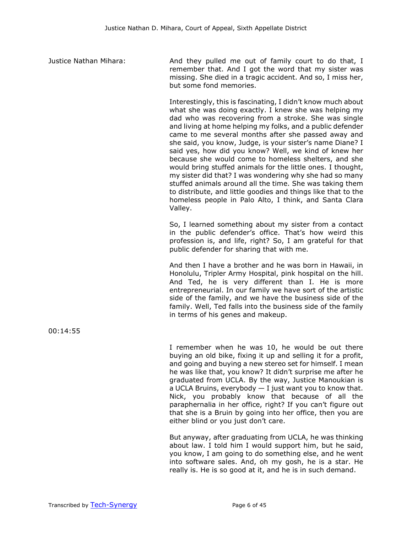Justice Nathan Mihara: And they pulled me out of family court to do that, I remember that. And I got the word that my sister was missing. She died in a tragic accident. And so, I miss her, but some fond memories.

> Interestingly, this is fascinating, I didn't know much about what she was doing exactly. I knew she was helping my dad who was recovering from a stroke. She was single and living at home helping my folks, and a public defender came to me several months after she passed away and she said, you know, Judge, is your sister's name Diane? I said yes, how did you know? Well, we kind of knew her because she would come to homeless shelters, and she would bring stuffed animals for the little ones. I thought, my sister did that? I was wondering why she had so many stuffed animals around all the time. She was taking them to distribute, and little goodies and things like that to the homeless people in Palo Alto, I think, and Santa Clara Valley.

> So, I learned something about my sister from a contact in the public defender's office. That's how weird this profession is, and life, right? So, I am grateful for that public defender for sharing that with me.

> And then I have a brother and he was born in Hawaii, in Honolulu, Tripler Army Hospital, pink hospital on the hill. And Ted, he is very different than I. He is more entrepreneurial. In our family we have sort of the artistic side of the family, and we have the business side of the family. Well, Ted falls into the business side of the family in terms of his genes and makeup.

> I remember when he was 10, he would be out there buying an old bike, fixing it up and selling it for a profit, and going and buying a new stereo set for himself. I mean he was like that, you know? It didn't surprise me after he graduated from UCLA. By the way, Justice Manoukian is a UCLA Bruins, everybody  $-$  I just want you to know that. Nick, you probably know that because of all the paraphernalia in her office, right? If you can't figure out that she is a Bruin by going into her office, then you are either blind or you just don't care.

> But anyway, after graduating from UCLA, he was thinking about law. I told him I would support him, but he said, you know, I am going to do something else, and he went into software sales. And, oh my gosh, he is a star. He really is. He is so good at it, and he is in such demand.

00:14:55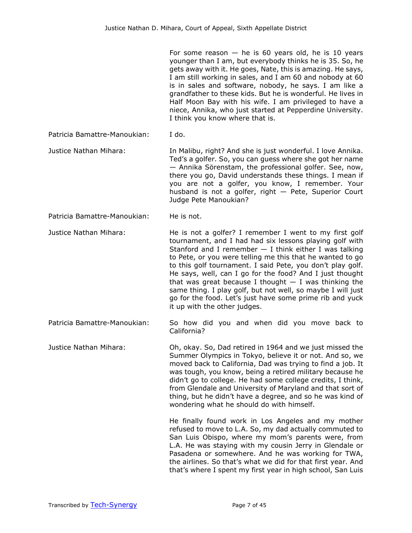For some reason  $-$  he is 60 years old, he is 10 years younger than I am, but everybody thinks he is 35. So, he gets away with it. He goes, Nate, this is amazing. He says, I am still working in sales, and I am 60 and nobody at 60 is in sales and software, nobody, he says. I am like a grandfather to these kids. But he is wonderful. He lives in Half Moon Bay with his wife. I am privileged to have a niece, Annika, who just started at Pepperdine University. I think you know where that is.

Patricia Bamattre-Manoukian: I do.

Justice Nathan Mihara: In Malibu, right? And she is just wonderful. I love Annika. Ted's a golfer. So, you can guess where she got her name — Annika Sörenstam, the professional golfer. See, now, there you go, David understands these things. I mean if you are not a golfer, you know, I remember. Your husband is not a golfer, right — Pete, Superior Court Judge Pete Manoukian?

Patricia Bamattre-Manoukian: He is not.

Justice Nathan Mihara: He is not a golfer? I remember I went to my first golf tournament, and I had had six lessons playing golf with Stanford and I remember  $-$  I think either I was talking to Pete, or you were telling me this that he wanted to go to this golf tournament. I said Pete, you don't play golf. He says, well, can I go for the food? And I just thought that was great because I thought  $-$  I was thinking the same thing. I play golf, but not well, so maybe I will just go for the food. Let's just have some prime rib and yuck it up with the other judges.

Patricia Bamattre-Manoukian: So how did you and when did you move back to California?

Justice Nathan Mihara: Oh, okay. So, Dad retired in 1964 and we just missed the Summer Olympics in Tokyo, believe it or not. And so, we moved back to California, Dad was trying to find a job. It was tough, you know, being a retired military because he didn't go to college. He had some college credits, I think, from Glendale and University of Maryland and that sort of thing, but he didn't have a degree, and so he was kind of wondering what he should do with himself.

> He finally found work in Los Angeles and my mother refused to move to L.A. So, my dad actually commuted to San Luis Obispo, where my mom's parents were, from L.A. He was staying with my cousin Jerry in Glendale or Pasadena or somewhere. And he was working for TWA, the airlines. So that's what we did for that first year. And that's where I spent my first year in high school, San Luis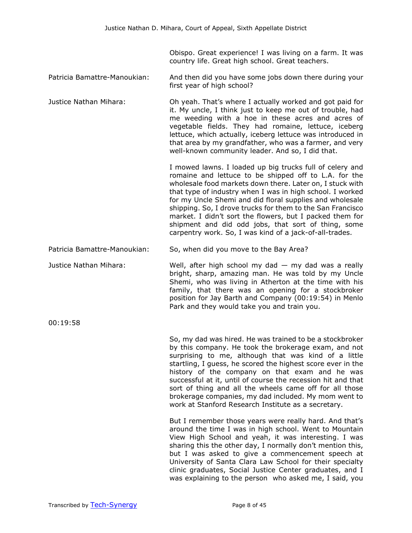Obispo. Great experience! I was living on a farm. It was country life. Great high school. Great teachers.

- Patricia Bamattre-Manoukian: And then did you have some jobs down there during your first year of high school?
- Justice Nathan Mihara: Oh yeah. That's where I actually worked and got paid for it. My uncle, I think just to keep me out of trouble, had me weeding with a hoe in these acres and acres of vegetable fields. They had romaine, lettuce, iceberg lettuce, which actually, iceberg lettuce was introduced in that area by my grandfather, who was a farmer, and very well-known community leader. And so, I did that.

I mowed lawns. I loaded up big trucks full of celery and romaine and lettuce to be shipped off to L.A. for the wholesale food markets down there. Later on, I stuck with that type of industry when I was in high school. I worked for my Uncle Shemi and did floral supplies and wholesale shipping. So, I drove trucks for them to the San Francisco market. I didn't sort the flowers, but I packed them for shipment and did odd jobs, that sort of thing, some carpentry work. So, I was kind of a jack-of-all-trades.

Patricia Bamattre-Manoukian: So, when did you move to the Bay Area?

Justice Nathan Mihara: Well, after high school my dad — my dad was a really bright, sharp, amazing man. He was told by my Uncle Shemi, who was living in Atherton at the time with his family, that there was an opening for a stockbroker position for Jay Barth and Company (00:19:54) in Menlo Park and they would take you and train you.

00:19:58

So, my dad was hired. He was trained to be a stockbroker by this company. He took the brokerage exam, and not surprising to me, although that was kind of a little startling, I guess, he scored the highest score ever in the history of the company on that exam and he was successful at it, until of course the recession hit and that sort of thing and all the wheels came off for all those brokerage companies, my dad included. My mom went to work at Stanford Research Institute as a secretary.

But I remember those years were really hard. And that's around the time I was in high school. Went to Mountain View High School and yeah, it was interesting. I was sharing this the other day, I normally don't mention this, but I was asked to give a commencement speech at University of Santa Clara Law School for their specialty clinic graduates, Social Justice Center graduates, and I was explaining to the person who asked me, I said, you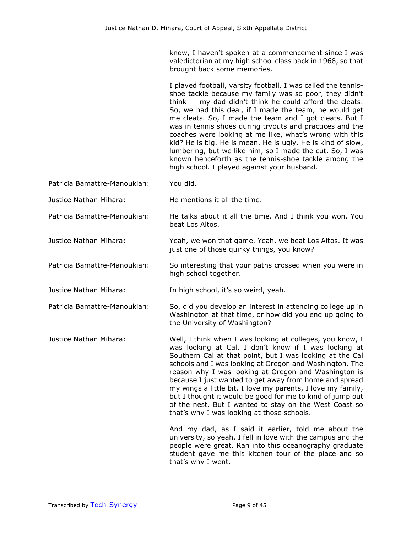know, I haven't spoken at a commencement since I was valedictorian at my high school class back in 1968, so that brought back some memories.

I played football, varsity football. I was called the tennisshoe tackle because my family was so poor, they didn't think  $-$  my dad didn't think he could afford the cleats. So, we had this deal, if I made the team, he would get me cleats. So, I made the team and I got cleats. But I was in tennis shoes during tryouts and practices and the coaches were looking at me like, what's wrong with this kid? He is big. He is mean. He is ugly. He is kind of slow, lumbering, but we like him, so I made the cut. So, I was known henceforth as the tennis-shoe tackle among the high school. I played against your husband.

Patricia Bamattre-Manoukian: You did.

Justice Nathan Mihara: He mentions it all the time.

Patricia Bamattre-Manoukian: He talks about it all the time. And I think you won. You beat Los Altos.

Justice Nathan Mihara: Yeah, we won that game. Yeah, we beat Los Altos. It was just one of those quirky things, you know?

high school together.

Patricia Bamattre-Manoukian: So interesting that your paths crossed when you were in

Justice Nathan Mihara: In high school, it's so weird, yeah.

Patricia Bamattre-Manoukian: So, did you develop an interest in attending college up in Washington at that time, or how did you end up going to the University of Washington?

Justice Nathan Mihara: Well, I think when I was looking at colleges, you know, I was looking at Cal. I don't know if I was looking at Southern Cal at that point, but I was looking at the Cal schools and I was looking at Oregon and Washington. The reason why I was looking at Oregon and Washington is because I just wanted to get away from home and spread my wings a little bit. I love my parents, I love my family, but I thought it would be good for me to kind of jump out of the nest. But I wanted to stay on the West Coast so that's why I was looking at those schools.

> And my dad, as I said it earlier, told me about the university, so yeah, I fell in love with the campus and the people were great. Ran into this oceanography graduate student gave me this kitchen tour of the place and so that's why I went.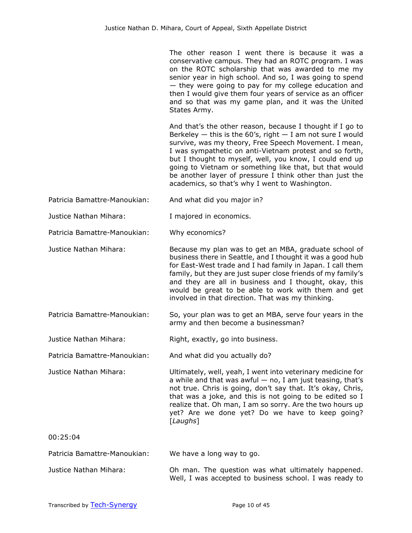The other reason I went there is because it was a conservative campus. They had an ROTC program. I was on the ROTC scholarship that was awarded to me my senior year in high school. And so, I was going to spend — they were going to pay for my college education and then I would give them four years of service as an officer and so that was my game plan, and it was the United States Army.

And that's the other reason, because I thought if I go to Berkeley  $-$  this is the 60's, right  $-$  I am not sure I would survive, was my theory, Free Speech Movement. I mean, I was sympathetic on anti-Vietnam protest and so forth, but I thought to myself, well, you know, I could end up going to Vietnam or something like that, but that would be another layer of pressure I think other than just the academics, so that's why I went to Washington.

Patricia Bamattre-Manoukian: And what did you major in?

Justice Nathan Mihara: I majored in economics.

Patricia Bamattre-Manoukian: Why economics?

- Justice Nathan Mihara: Because my plan was to get an MBA, graduate school of business there in Seattle, and I thought it was a good hub for East-West trade and I had family in Japan. I call them family, but they are just super close friends of my family's and they are all in business and I thought, okay, this would be great to be able to work with them and get involved in that direction. That was my thinking.
- Patricia Bamattre-Manoukian: So, your plan was to get an MBA, serve four years in the army and then become a businessman?
- Justice Nathan Mihara: Right, exactly, go into business.

Patricia Bamattre-Manoukian: And what did you actually do?

Justice Nathan Mihara: Ultimately, well, yeah, I went into veterinary medicine for a while and that was awful  $-$  no, I am just teasing, that's not true. Chris is going, don't say that. It's okay, Chris, that was a joke, and this is not going to be edited so I realize that. Oh man, I am so sorry. Are the two hours up yet? Are we done yet? Do we have to keep going? [*Laughs*]

00:25:04

Patricia Bamattre-Manoukian: We have a long way to go.

Justice Nathan Mihara: Oh man. The question was what ultimately happened. Well, I was accepted to business school. I was ready to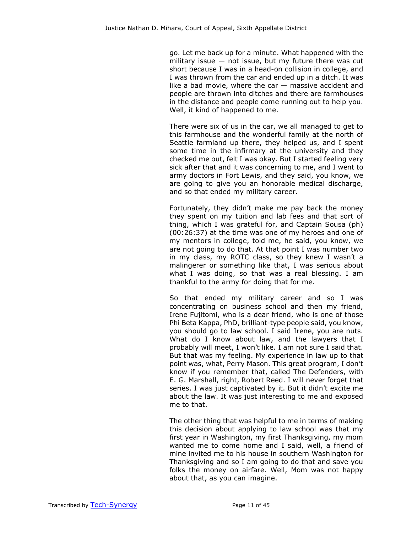go. Let me back up for a minute. What happened with the military issue  $-$  not issue, but my future there was cut short because I was in a head-on collision in college, and I was thrown from the car and ended up in a ditch. It was like a bad movie, where the car  $-$  massive accident and people are thrown into ditches and there are farmhouses in the distance and people come running out to help you. Well, it kind of happened to me.

There were six of us in the car, we all managed to get to this farmhouse and the wonderful family at the north of Seattle farmland up there, they helped us, and I spent some time in the infirmary at the university and they checked me out, felt I was okay. But I started feeling very sick after that and it was concerning to me, and I went to army doctors in Fort Lewis, and they said, you know, we are going to give you an honorable medical discharge, and so that ended my military career.

Fortunately, they didn't make me pay back the money they spent on my tuition and lab fees and that sort of thing, which I was grateful for, and Captain Sousa (ph) (00:26:37) at the time was one of my heroes and one of my mentors in college, told me, he said, you know, we are not going to do that. At that point I was number two in my class, my ROTC class, so they knew I wasn't a malingerer or something like that, I was serious about what I was doing, so that was a real blessing. I am thankful to the army for doing that for me.

So that ended my military career and so I was concentrating on business school and then my friend, Irene Fujitomi, who is a dear friend, who is one of those Phi Beta Kappa, PhD, brilliant-type people said, you know, you should go to law school. I said Irene, you are nuts. What do I know about law, and the lawyers that I probably will meet, I won't like. I am not sure I said that. But that was my feeling. My experience in law up to that point was, what, Perry Mason. This great program, I don't know if you remember that, called The Defenders, with E. G. Marshall, right, Robert Reed. I will never forget that series. I was just captivated by it. But it didn't excite me about the law. It was just interesting to me and exposed me to that.

The other thing that was helpful to me in terms of making this decision about applying to law school was that my first year in Washington, my first Thanksgiving, my mom wanted me to come home and I said, well, a friend of mine invited me to his house in southern Washington for Thanksgiving and so I am going to do that and save you folks the money on airfare. Well, Mom was not happy about that, as you can imagine.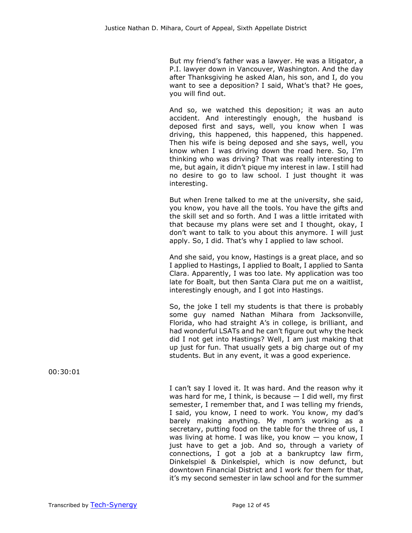But my friend's father was a lawyer. He was a litigator, a P.I. lawyer down in Vancouver, Washington. And the day after Thanksgiving he asked Alan, his son, and I, do you want to see a deposition? I said, What's that? He goes, you will find out.

And so, we watched this deposition; it was an auto accident. And interestingly enough, the husband is deposed first and says, well, you know when I was driving, this happened, this happened, this happened. Then his wife is being deposed and she says, well, you know when I was driving down the road here. So, I'm thinking who was driving? That was really interesting to me, but again, it didn't pique my interest in law. I still had no desire to go to law school. I just thought it was interesting.

But when Irene talked to me at the university, she said, you know, you have all the tools. You have the gifts and the skill set and so forth. And I was a little irritated with that because my plans were set and I thought, okay, I don't want to talk to you about this anymore. I will just apply. So, I did. That's why I applied to law school.

And she said, you know, Hastings is a great place, and so I applied to Hastings, I applied to Boalt, I applied to Santa Clara. Apparently, I was too late. My application was too late for Boalt, but then Santa Clara put me on a waitlist, interestingly enough, and I got into Hastings.

So, the joke I tell my students is that there is probably some guy named Nathan Mihara from Jacksonville, Florida, who had straight A's in college, is brilliant, and had wonderful LSATs and he can't figure out why the heck did I not get into Hastings? Well, I am just making that up just for fun. That usually gets a big charge out of my students. But in any event, it was a good experience.

I can't say I loved it. It was hard. And the reason why it was hard for me, I think, is because  $-$  I did well, my first semester, I remember that, and I was telling my friends, I said, you know, I need to work. You know, my dad's barely making anything. My mom's working as a secretary, putting food on the table for the three of us, I was living at home. I was like, you know  $-$  you know, I just have to get a job. And so, through a variety of connections, I got a job at a bankruptcy law firm, Dinkelspiel & Dinkelspiel, which is now defunct, but downtown Financial District and I work for them for that, it's my second semester in law school and for the summer

00:30:01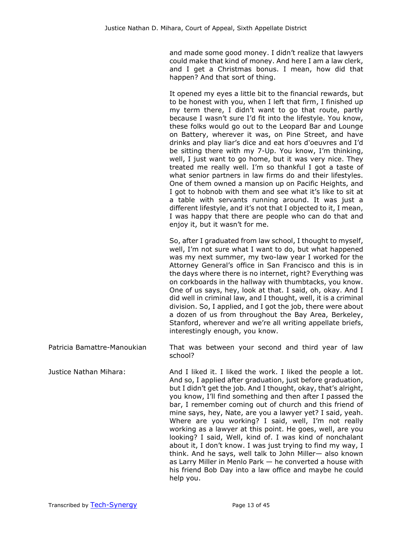and made some good money. I didn't realize that lawyers could make that kind of money. And here I am a law clerk, and I get a Christmas bonus. I mean, how did that happen? And that sort of thing.

It opened my eyes a little bit to the financial rewards, but to be honest with you, when I left that firm, I finished up my term there, I didn't want to go that route, partly because I wasn't sure I'd fit into the lifestyle. You know, these folks would go out to the Leopard Bar and Lounge on Battery, wherever it was, on Pine Street, and have drinks and play liar's dice and eat hors d'oeuvres and I'd be sitting there with my 7-Up. You know, I'm thinking, well, I just want to go home, but it was very nice. They treated me really well. I'm so thankful I got a taste of what senior partners in law firms do and their lifestyles. One of them owned a mansion up on Pacific Heights, and I got to hobnob with them and see what it's like to sit at a table with servants running around. It was just a different lifestyle, and it's not that I objected to it, I mean, I was happy that there are people who can do that and enjoy it, but it wasn't for me.

So, after I graduated from law school, I thought to myself, well, I'm not sure what I want to do, but what happened was my next summer, my two-law year I worked for the Attorney General's office in San Francisco and this is in the days where there is no internet, right? Everything was on corkboards in the hallway with thumbtacks, you know. One of us says, hey, look at that. I said, oh, okay. And I did well in criminal law, and I thought, well, it is a criminal division. So, I applied, and I got the job, there were about a dozen of us from throughout the Bay Area, Berkeley, Stanford, wherever and we're all writing appellate briefs, interestingly enough, you know.

Patricia Bamattre-Manoukian That was between your second and third year of law school?

Justice Nathan Mihara: And I liked it. I liked the work. I liked the people a lot. And so, I applied after graduation, just before graduation, but I didn't get the job. And I thought, okay, that's alright, you know, I'll find something and then after I passed the bar, I remember coming out of church and this friend of mine says, hey, Nate, are you a lawyer yet? I said, yeah. Where are you working? I said, well, I'm not really working as a lawyer at this point. He goes, well, are you looking? I said, Well, kind of. I was kind of nonchalant about it, I don't know. I was just trying to find my way, I think. And he says, well talk to John Miller— also known as Larry Miller in Menlo Park — he converted a house with his friend Bob Day into a law office and maybe he could help you.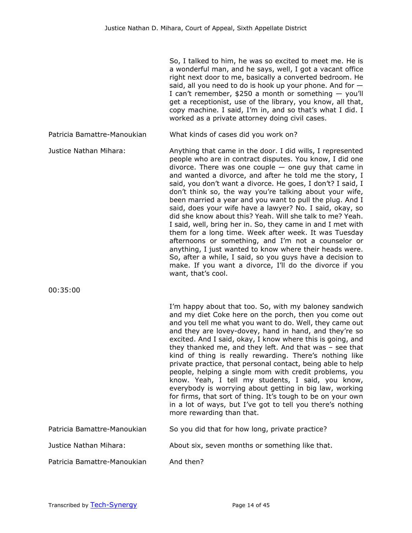So, I talked to him, he was so excited to meet me. He is a wonderful man, and he says, well, I got a vacant office right next door to me, basically a converted bedroom. He said, all you need to do is hook up your phone. And for  $-$ I can't remember,  $$250$  a month or something  $-$  you'll get a receptionist, use of the library, you know, all that, copy machine. I said, I'm in, and so that's what I did. I worked as a private attorney doing civil cases.

Patricia Bamattre-Manoukian What kinds of cases did you work on?

Justice Nathan Mihara: Anything that came in the door. I did wills, I represented people who are in contract disputes. You know, I did one divorce. There was one couple  $-$  one guy that came in and wanted a divorce, and after he told me the story, I said, you don't want a divorce. He goes, I don't? I said, I don't think so, the way you're talking about your wife, been married a year and you want to pull the plug. And I said, does your wife have a lawyer? No. I said, okay, so did she know about this? Yeah. Will she talk to me? Yeah. I said, well, bring her in. So, they came in and I met with them for a long time. Week after week. It was Tuesday afternoons or something, and I'm not a counselor or anything, I just wanted to know where their heads were. So, after a while, I said, so you guys have a decision to make. If you want a divorce, I'll do the divorce if you want, that's cool.

00:35:00

I'm happy about that too. So, with my baloney sandwich and my diet Coke here on the porch, then you come out and you tell me what you want to do. Well, they came out and they are lovey-dovey, hand in hand, and they're so excited. And I said, okay, I know where this is going, and they thanked me, and they left. And that was – see that kind of thing is really rewarding. There's nothing like private practice, that personal contact, being able to help people, helping a single mom with credit problems, you know. Yeah, I tell my students, I said, you know, everybody is worrying about getting in big law, working for firms, that sort of thing. It's tough to be on your own in a lot of ways, but I've got to tell you there's nothing more rewarding than that.

| Patricia Bamattre-Manoukian | So you did that for how long, private practice? |
|-----------------------------|-------------------------------------------------|
|-----------------------------|-------------------------------------------------|

Justice Nathan Mihara: About six, seven months or something like that.

Patricia Bamattre-Manoukian And then?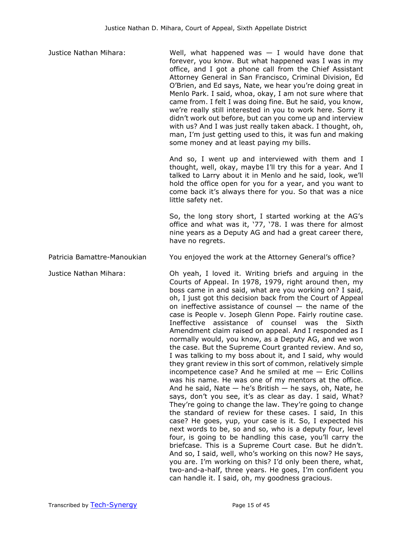| Justice Nathan Mihara:      | Well, what happened was $-$ I would have done that<br>forever, you know. But what happened was I was in my<br>office, and I got a phone call from the Chief Assistant<br>Attorney General in San Francisco, Criminal Division, Ed<br>O'Brien, and Ed says, Nate, we hear you're doing great in<br>Menlo Park. I said, whoa, okay, I am not sure where that<br>came from. I felt I was doing fine. But he said, you know,<br>we're really still interested in you to work here. Sorry it<br>didn't work out before, but can you come up and interview<br>with us? And I was just really taken aback. I thought, oh,<br>man, I'm just getting used to this, it was fun and making<br>some money and at least paying my bills.                                                                                                                                                                                                                                                                                                                                                                                                                                                                                                                                                                                                                                                                                                                                                                                                                                                                    |
|-----------------------------|------------------------------------------------------------------------------------------------------------------------------------------------------------------------------------------------------------------------------------------------------------------------------------------------------------------------------------------------------------------------------------------------------------------------------------------------------------------------------------------------------------------------------------------------------------------------------------------------------------------------------------------------------------------------------------------------------------------------------------------------------------------------------------------------------------------------------------------------------------------------------------------------------------------------------------------------------------------------------------------------------------------------------------------------------------------------------------------------------------------------------------------------------------------------------------------------------------------------------------------------------------------------------------------------------------------------------------------------------------------------------------------------------------------------------------------------------------------------------------------------------------------------------------------------------------------------------------------------|
|                             | And so, I went up and interviewed with them and I<br>thought, well, okay, maybe I'll try this for a year. And I<br>talked to Larry about it in Menlo and he said, look, we'll<br>hold the office open for you for a year, and you want to<br>come back it's always there for you. So that was a nice<br>little safety net.                                                                                                                                                                                                                                                                                                                                                                                                                                                                                                                                                                                                                                                                                                                                                                                                                                                                                                                                                                                                                                                                                                                                                                                                                                                                     |
|                             | So, the long story short, I started working at the AG's<br>office and what was it, '77, '78. I was there for almost<br>nine years as a Deputy AG and had a great career there,<br>have no regrets.                                                                                                                                                                                                                                                                                                                                                                                                                                                                                                                                                                                                                                                                                                                                                                                                                                                                                                                                                                                                                                                                                                                                                                                                                                                                                                                                                                                             |
| Patricia Bamattre-Manoukian | You enjoyed the work at the Attorney General's office?                                                                                                                                                                                                                                                                                                                                                                                                                                                                                                                                                                                                                                                                                                                                                                                                                                                                                                                                                                                                                                                                                                                                                                                                                                                                                                                                                                                                                                                                                                                                         |
| Justice Nathan Mihara:      | Oh yeah, I loved it. Writing briefs and arguing in the<br>Courts of Appeal. In 1978, 1979, right around then, my<br>boss came in and said, what are you working on? I said,<br>oh, I just got this decision back from the Court of Appeal<br>on ineffective assistance of counsel $-$ the name of the<br>case is People v. Joseph Glenn Pope. Fairly routine case.<br>Ineffective assistance of counsel was the<br>Sixth<br>Amendment claim raised on appeal. And I responded as I<br>normally would, you know, as a Deputy AG, and we won<br>the case. But the Supreme Court granted review. And so,<br>I was talking to my boss about it, and I said, why would<br>they grant review in this sort of common, relatively simple<br>incompetence case? And he smiled at me $-$ Eric Collins<br>was his name. He was one of my mentors at the office.<br>And he said, Nate $-$ he's British $-$ he says, oh, Nate, he<br>says, don't you see, it's as clear as day. I said, What?<br>They're going to change the law. They're going to change<br>the standard of review for these cases. I said, In this<br>case? He goes, yup, your case is it. So, I expected his<br>next words to be, so and so, who is a deputy four, level<br>four, is going to be handling this case, you'll carry the<br>briefcase. This is a Supreme Court case. But he didn't.<br>And so, I said, well, who's working on this now? He says,<br>you are. I'm working on this? I'd only been there, what,<br>two-and-a-half, three years. He goes, I'm confident you<br>can handle it. I said, oh, my goodness gracious. |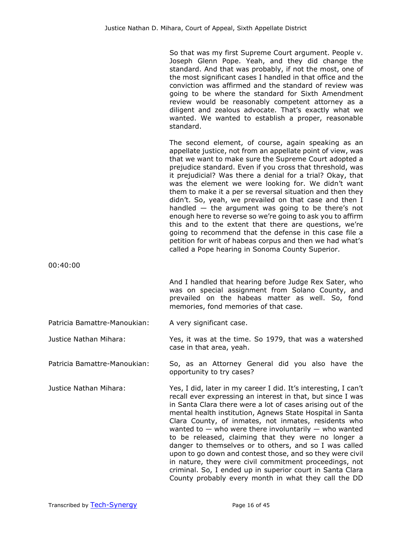So that was my first Supreme Court argument. People v. Joseph Glenn Pope. Yeah, and they did change the standard. And that was probably, if not the most, one of the most significant cases I handled in that office and the conviction was affirmed and the standard of review was going to be where the standard for Sixth Amendment review would be reasonably competent attorney as a diligent and zealous advocate. That's exactly what we wanted. We wanted to establish a proper, reasonable standard.

The second element, of course, again speaking as an appellate justice, not from an appellate point of view, was that we want to make sure the Supreme Court adopted a prejudice standard. Even if you cross that threshold, was it prejudicial? Was there a denial for a trial? Okay, that was the element we were looking for. We didn't want them to make it a per se reversal situation and then they didn't. So, yeah, we prevailed on that case and then I handled  $-$  the argument was going to be there's not enough here to reverse so we're going to ask you to affirm this and to the extent that there are questions, we're going to recommend that the defense in this case file a petition for writ of habeas corpus and then we had what's called a Pope hearing in Sonoma County Superior.

00:40:00

And I handled that hearing before Judge Rex Sater, who was on special assignment from Solano County, and prevailed on the habeas matter as well. So, fond memories, fond memories of that case.

Patricia Bamattre-Manoukian: A very significant case.

Justice Nathan Mihara: Yes, it was at the time. So 1979, that was a watershed case in that area, yeah.

Patricia Bamattre-Manoukian: So, as an Attorney General did you also have the opportunity to try cases?

Justice Nathan Mihara: Yes, I did, later in my career I did. It's interesting, I can't recall ever expressing an interest in that, but since I was in Santa Clara there were a lot of cases arising out of the mental health institution, Agnews State Hospital in Santa Clara County, of inmates, not inmates, residents who wanted to  $-$  who were there involuntarily  $-$  who wanted to be released, claiming that they were no longer a danger to themselves or to others, and so I was called upon to go down and contest those, and so they were civil in nature, they were civil commitment proceedings, not criminal. So, I ended up in superior court in Santa Clara County probably every month in what they call the DD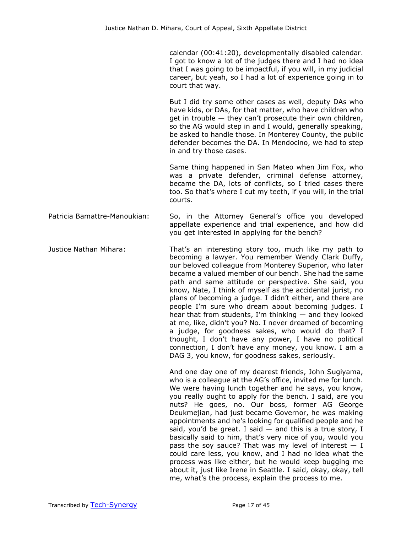calendar (00:41:20), developmentally disabled calendar. I got to know a lot of the judges there and I had no idea that I was going to be impactful, if you will, in my judicial career, but yeah, so I had a lot of experience going in to court that way.

But I did try some other cases as well, deputy DAs who have kids, or DAs, for that matter, who have children who get in trouble — they can't prosecute their own children, so the AG would step in and I would, generally speaking, be asked to handle those. In Monterey County, the public defender becomes the DA. In Mendocino, we had to step in and try those cases.

Same thing happened in San Mateo when Jim Fox, who was a private defender, criminal defense attorney, became the DA, lots of conflicts, so I tried cases there too. So that's where I cut my teeth, if you will, in the trial courts.

Patricia Bamattre-Manoukian: So, in the Attorney General's office you developed appellate experience and trial experience, and how did you get interested in applying for the bench?

Justice Nathan Mihara: That's an interesting story too, much like my path to becoming a lawyer. You remember Wendy Clark Duffy, our beloved colleague from Monterey Superior, who later became a valued member of our bench. She had the same path and same attitude or perspective. She said, you know, Nate, I think of myself as the accidental jurist, no plans of becoming a judge. I didn't either, and there are people I'm sure who dream about becoming judges. I hear that from students, I'm thinking  $-$  and they looked at me, like, didn't you? No. I never dreamed of becoming a judge, for goodness sakes, who would do that? I thought, I don't have any power, I have no political connection, I don't have any money, you know. I am a DAG 3, you know, for goodness sakes, seriously.

> And one day one of my dearest friends, John Sugiyama, who is a colleague at the AG's office, invited me for lunch. We were having lunch together and he says, you know, you really ought to apply for the bench. I said, are you nuts? He goes, no. Our boss, former AG George Deukmejian, had just became Governor, he was making appointments and he's looking for qualified people and he said, you'd be great. I said  $-$  and this is a true story, I basically said to him, that's very nice of you, would you pass the soy sauce? That was my level of interest  $- I$ could care less, you know, and I had no idea what the process was like either, but he would keep bugging me about it, just like Irene in Seattle. I said, okay, okay, tell me, what's the process, explain the process to me.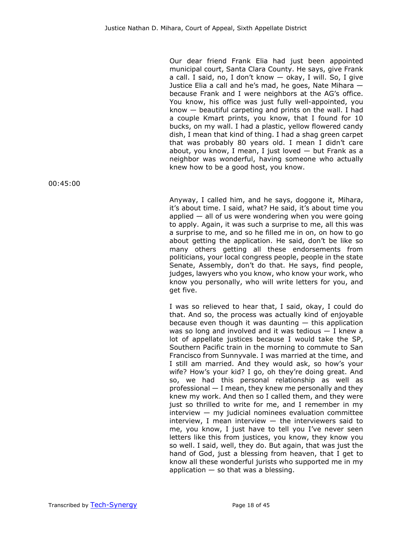Our dear friend Frank Elia had just been appointed municipal court, Santa Clara County. He says, give Frank a call. I said, no, I don't know — okay, I will. So, I give Justice Elia a call and he's mad, he goes, Nate Mihara because Frank and I were neighbors at the AG's office. You know, his office was just fully well-appointed, you know  $-$  beautiful carpeting and prints on the wall. I had a couple Kmart prints, you know, that I found for 10 bucks, on my wall. I had a plastic, yellow flowered candy dish, I mean that kind of thing. I had a shag green carpet that was probably 80 years old. I mean I didn't care about, you know, I mean, I just loved  $-$  but Frank as a neighbor was wonderful, having someone who actually knew how to be a good host, you know.

00:45:00

Anyway, I called him, and he says, doggone it, Mihara, it's about time. I said, what? He said, it's about time you applied  $-$  all of us were wondering when you were going to apply. Again, it was such a surprise to me, all this was a surprise to me, and so he filled me in on, on how to go about getting the application. He said, don't be like so many others getting all these endorsements from politicians, your local congress people, people in the state Senate, Assembly, don't do that. He says, find people, judges, lawyers who you know, who know your work, who know you personally, who will write letters for you, and get five.

I was so relieved to hear that, I said, okay, I could do that. And so, the process was actually kind of enjoyable because even though it was daunting  $-$  this application was so long and involved and it was tedious — I knew a lot of appellate justices because I would take the SP, Southern Pacific train in the morning to commute to San Francisco from Sunnyvale. I was married at the time, and I still am married. And they would ask, so how's your wife? How's your kid? I go, oh they're doing great. And so, we had this personal relationship as well as professional — I mean, they knew me personally and they knew my work. And then so I called them, and they were just so thrilled to write for me, and I remember in my  $interview - my$  judicial nominees evaluation committee interview, I mean interview  $-$  the interviewers said to me, you know, I just have to tell you I've never seen letters like this from justices, you know, they know you so well. I said, well, they do. But again, that was just the hand of God, just a blessing from heaven, that I get to know all these wonderful jurists who supported me in my application  $-$  so that was a blessing.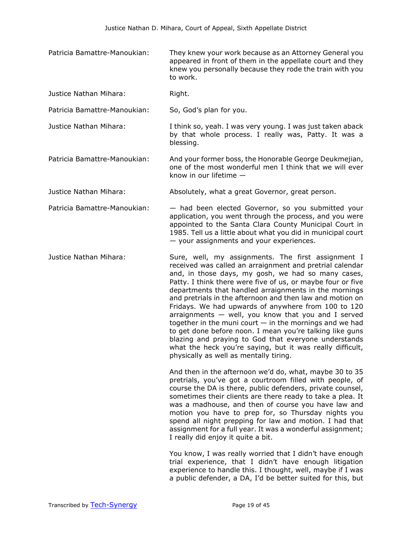- Patricia Bamattre-Manoukian: They knew your work because as an Attorney General you appeared in front of them in the appellate court and they knew you personally because they rode the train with you to work.
- Justice Nathan Mihara: Right.
- Patricia Bamattre-Manoukian: So, God's plan for you.
- Justice Nathan Mihara: I think so, yeah. I was very young. I was just taken aback by that whole process. I really was, Patty. It was a blessing.
- Patricia Bamattre-Manoukian: And your former boss, the Honorable George Deukmejian, one of the most wonderful men I think that we will ever know in our lifetime —
- Justice Nathan Mihara: Absolutely, what a great Governor, great person.
- Patricia Bamattre-Manoukian: had been elected Governor, so you submitted your application, you went through the process, and you were appointed to the Santa Clara County Municipal Court in 1985. Tell us a little about what you did in municipal court — your assignments and your experiences.
- Justice Nathan Mihara: Sure, well, my assignments. The first assignment I received was called an arraignment and pretrial calendar and, in those days, my gosh, we had so many cases, Patty. I think there were five of us, or maybe four or five departments that handled arraignments in the mornings and pretrials in the afternoon and then law and motion on Fridays. We had upwards of anywhere from 100 to 120 arraignments  $-$  well, you know that you and I served together in the muni court  $-$  in the mornings and we had to get done before noon. I mean you're talking like guns blazing and praying to God that everyone understands what the heck you're saying, but it was really difficult, physically as well as mentally tiring.

And then in the afternoon we'd do, what, maybe 30 to 35 pretrials, you've got a courtroom filled with people, of course the DA is there, public defenders, private counsel, sometimes their clients are there ready to take a plea. It was a madhouse, and then of course you have law and motion you have to prep for, so Thursday nights you spend all night prepping for law and motion. I had that assignment for a full year. It was a wonderful assignment; I really did enjoy it quite a bit.

You know, I was really worried that I didn't have enough trial experience, that I didn't have enough litigation experience to handle this. I thought, well, maybe if I was a public defender, a DA, I'd be better suited for this, but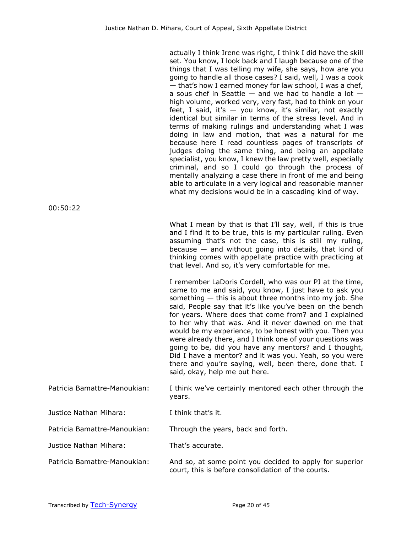| actually I think Irene was right, I think I did have the skill<br>set. You know, I look back and I laugh because one of the<br>things that I was telling my wife, she says, how are you<br>going to handle all those cases? I said, well, I was a cook<br>- that's how I earned money for law school, I was a chef,<br>a sous chef in Seattle $-$ and we had to handle a lot $-$<br>high volume, worked very, very fast, had to think on your<br>feet, I said, it's - you know, it's similar, not exactly<br>identical but similar in terms of the stress level. And in<br>terms of making rulings and understanding what I was<br>doing in law and motion, that was a natural for me<br>because here I read countless pages of transcripts of<br>judges doing the same thing, and being an appellate<br>specialist, you know, I knew the law pretty well, especially<br>criminal, and so I could go through the process of<br>mentally analyzing a case there in front of me and being<br>able to articulate in a very logical and reasonable manner |
|-------------------------------------------------------------------------------------------------------------------------------------------------------------------------------------------------------------------------------------------------------------------------------------------------------------------------------------------------------------------------------------------------------------------------------------------------------------------------------------------------------------------------------------------------------------------------------------------------------------------------------------------------------------------------------------------------------------------------------------------------------------------------------------------------------------------------------------------------------------------------------------------------------------------------------------------------------------------------------------------------------------------------------------------------------|
| what my decisions would be in a cascading kind of way.                                                                                                                                                                                                                                                                                                                                                                                                                                                                                                                                                                                                                                                                                                                                                                                                                                                                                                                                                                                                |
|                                                                                                                                                                                                                                                                                                                                                                                                                                                                                                                                                                                                                                                                                                                                                                                                                                                                                                                                                                                                                                                       |

What I mean by that is that I'll say, well, if this is true and I find it to be true, this is my particular ruling. Even assuming that's not the case, this is still my ruling, because  $-$  and without going into details, that kind of thinking comes with appellate practice with practicing at that level. And so, it's very comfortable for me.

I remember LaDoris Cordell, who was our PJ at the time, came to me and said, you know, I just have to ask you something — this is about three months into my job. She said, People say that it's like you've been on the bench for years. Where does that come from? and I explained to her why that was. And it never dawned on me that would be my experience, to be honest with you. Then you were already there, and I think one of your questions was going to be, did you have any mentors? and I thought, Did I have a mentor? and it was you. Yeah, so you were there and you're saying, well, been there, done that. I said, okay, help me out here.

Patricia Bamattre-Manoukian: I think we've certainly mentored each other through the years.

Justice Nathan Mihara: I think that's it.

Patricia Bamattre-Manoukian: Through the years, back and forth.

Justice Nathan Mihara: That's accurate.

Patricia Bamattre-Manoukian: And so, at some point you decided to apply for superior court, this is before consolidation of the courts.

00:50:22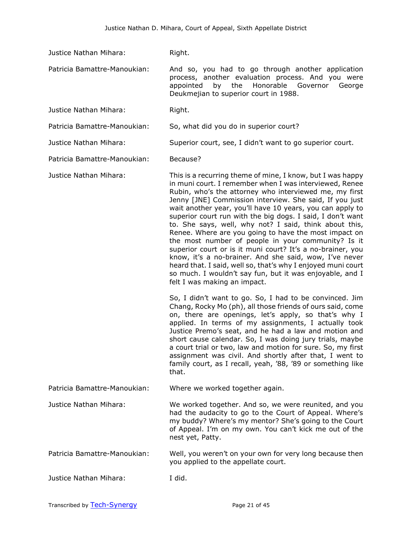Justice Nathan Mihara: Right.

Patricia Bamattre-Manoukian: And so, you had to go through another application process, another evaluation process. And you were appointed by the Honorable Governor George Deukmejian to superior court in 1988.

Justice Nathan Mihara: Right.

Patricia Bamattre-Manoukian: So, what did you do in superior court?

Justice Nathan Mihara: Superior court, see, I didn't want to go superior court.

Patricia Bamattre-Manoukian: Because?

Justice Nathan Mihara: This is a recurring theme of mine, I know, but I was happy in muni court. I remember when I was interviewed, Renee Rubin, who's the attorney who interviewed me, my first Jenny [JNE] Commission interview. She said, If you just wait another year, you'll have 10 years, you can apply to superior court run with the big dogs. I said, I don't want to. She says, well, why not? I said, think about this, Renee. Where are you going to have the most impact on the most number of people in your community? Is it superior court or is it muni court? It's a no-brainer, you know, it's a no-brainer. And she said, wow, I've never heard that. I said, well so, that's why I enjoyed muni court so much. I wouldn't say fun, but it was enjoyable, and I felt I was making an impact.

> So, I didn't want to go. So, I had to be convinced. Jim Chang, Rocky Mo (ph), all those friends of ours said, come on, there are openings, let's apply, so that's why I applied. In terms of my assignments, I actually took Justice Premo's seat, and he had a law and motion and short cause calendar. So, I was doing jury trials, maybe a court trial or two, law and motion for sure. So, my first assignment was civil. And shortly after that, I went to family court, as I recall, yeah, '88, '89 or something like that.

Patricia Bamattre-Manoukian: Where we worked together again.

Justice Nathan Mihara: We worked together. And so, we were reunited, and you had the audacity to go to the Court of Appeal. Where's my buddy? Where's my mentor? She's going to the Court of Appeal. I'm on my own. You can't kick me out of the nest yet, Patty.

- Patricia Bamattre-Manoukian: Well, you weren't on your own for very long because then you applied to the appellate court.
- Justice Nathan Mihara: I did.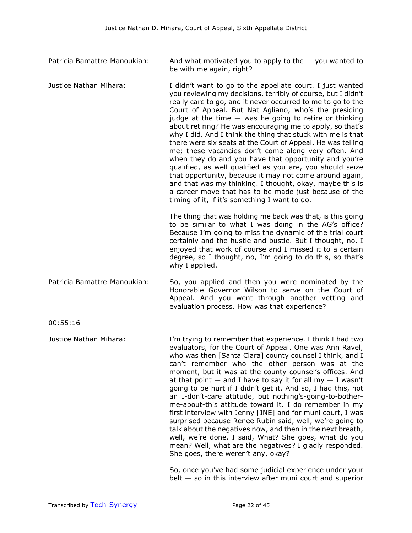- Patricia Bamattre-Manoukian: And what motivated you to apply to the you wanted to be with me again, right?
- Justice Nathan Mihara: I didn't want to go to the appellate court. I just wanted you reviewing my decisions, terribly of course, but I didn't really care to go, and it never occurred to me to go to the Court of Appeal. But Nat Agliano, who's the presiding judge at the time  $-$  was he going to retire or thinking about retiring? He was encouraging me to apply, so that's why I did. And I think the thing that stuck with me is that there were six seats at the Court of Appeal. He was telling me; these vacancies don't come along very often. And when they do and you have that opportunity and you're qualified, as well qualified as you are, you should seize that opportunity, because it may not come around again, and that was my thinking. I thought, okay, maybe this is a career move that has to be made just because of the timing of it, if it's something I want to do.

The thing that was holding me back was that, is this going to be similar to what I was doing in the AG's office? Because I'm going to miss the dynamic of the trial court certainly and the hustle and bustle. But I thought, no. I enjoyed that work of course and I missed it to a certain degree, so I thought, no, I'm going to do this, so that's why I applied.

Patricia Bamattre-Manoukian: So, you applied and then you were nominated by the Honorable Governor Wilson to serve on the Court of Appeal. And you went through another vetting and evaluation process. How was that experience?

00:55:16

Justice Nathan Mihara: I'm trying to remember that experience. I think I had two evaluators, for the Court of Appeal. One was Ann Ravel, who was then [Santa Clara] county counsel I think, and I can't remember who the other person was at the moment, but it was at the county counsel's offices. And at that point  $-$  and I have to say it for all my  $-$  I wasn't going to be hurt if I didn't get it. And so, I had this, not an I-don't-care attitude, but nothing's-going-to-botherme-about-this attitude toward it. I do remember in my first interview with Jenny [JNE] and for muni court, I was surprised because Renee Rubin said, well, we're going to talk about the negatives now, and then in the next breath, well, we're done. I said, What? She goes, what do you mean? Well, what are the negatives? I gladly responded. She goes, there weren't any, okay?

> So, once you've had some judicial experience under your  $b$ elt  $-$  so in this interview after muni court and superior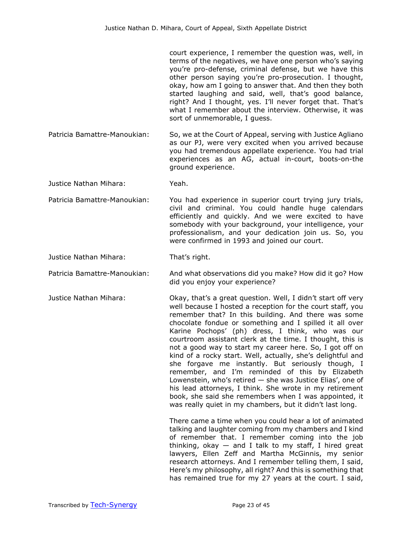court experience, I remember the question was, well, in terms of the negatives, we have one person who's saying you're pro-defense, criminal defense, but we have this other person saying you're pro-prosecution. I thought, okay, how am I going to answer that. And then they both started laughing and said, well, that's good balance, right? And I thought, yes. I'll never forget that. That's what I remember about the interview. Otherwise, it was sort of unmemorable, I guess.

Patricia Bamattre-Manoukian: So, we at the Court of Appeal, serving with Justice Agliano as our PJ, were very excited when you arrived because you had tremendous appellate experience. You had trial experiences as an AG, actual in-court, boots-on-the ground experience.

Justice Nathan Mihara: Yeah.

Patricia Bamattre-Manoukian: You had experience in superior court trying jury trials, civil and criminal. You could handle huge calendars efficiently and quickly. And we were excited to have somebody with your background, your intelligence, your professionalism, and your dedication join us. So, you were confirmed in 1993 and joined our court.

Justice Nathan Mihara: That's right.

Patricia Bamattre-Manoukian: And what observations did you make? How did it go? How did you enjoy your experience?

Justice Nathan Mihara: Okay, that's a great question. Well, I didn't start off very well because I hosted a reception for the court staff, you remember that? In this building. And there was some chocolate fondue or something and I spilled it all over Karine Pochops' (ph) dress, I think, who was our courtroom assistant clerk at the time. I thought, this is not a good way to start my career here. So, I got off on kind of a rocky start. Well, actually, she's delightful and she forgave me instantly. But seriously though, I remember, and I'm reminded of this by Elizabeth Lowenstein, who's retired — she was Justice Elias', one of his lead attorneys, I think. She wrote in my retirement book, she said she remembers when I was appointed, it was really quiet in my chambers, but it didn't last long.

> There came a time when you could hear a lot of animated talking and laughter coming from my chambers and I kind of remember that. I remember coming into the job thinking, okay  $-$  and I talk to my staff, I hired great lawyers, Ellen Zeff and Martha McGinnis, my senior research attorneys. And I remember telling them, I said, Here's my philosophy, all right? And this is something that has remained true for my 27 years at the court. I said,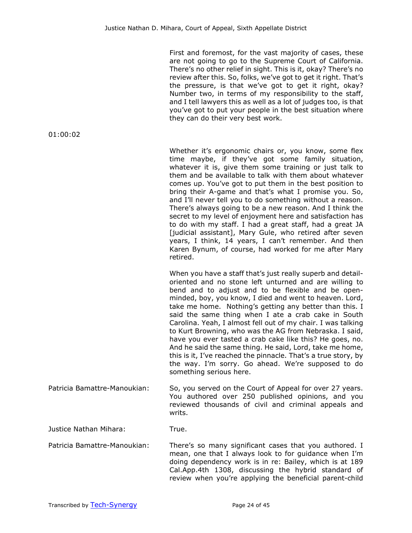First and foremost, for the vast majority of cases, these are not going to go to the Supreme Court of California. There's no other relief in sight. This is it, okay? There's no review after this. So, folks, we've got to get it right. That's the pressure, is that we've got to get it right, okay? Number two, in terms of my responsibility to the staff, and I tell lawyers this as well as a lot of judges too, is that you've got to put your people in the best situation where they can do their very best work.

Whether it's ergonomic chairs or, you know, some flex time maybe, if they've got some family situation, whatever it is, give them some training or just talk to them and be available to talk with them about whatever comes up. You've got to put them in the best position to bring their A-game and that's what I promise you. So, and I'll never tell you to do something without a reason. There's always going to be a new reason. And I think the secret to my level of enjoyment here and satisfaction has to do with my staff. I had a great staff, had a great JA [judicial assistant], Mary Gule, who retired after seven years, I think, 14 years, I can't remember. And then Karen Bynum, of course, had worked for me after Mary retired.

When you have a staff that's just really superb and detailoriented and no stone left unturned and are willing to bend and to adjust and to be flexible and be openminded, boy, you know, I died and went to heaven. Lord, take me home. Nothing's getting any better than this. I said the same thing when I ate a crab cake in South Carolina. Yeah, I almost fell out of my chair. I was talking to Kurt Browning, who was the AG from Nebraska. I said, have you ever tasted a crab cake like this? He goes, no. And he said the same thing. He said, Lord, take me home, this is it, I've reached the pinnacle. That's a true story, by the way. I'm sorry. Go ahead. We're supposed to do something serious here.

Patricia Bamattre-Manoukian: So, you served on the Court of Appeal for over 27 years. You authored over 250 published opinions, and you reviewed thousands of civil and criminal appeals and writs.

Justice Nathan Mihara: True.

Patricia Bamattre-Manoukian: There's so many significant cases that you authored. I mean, one that I always look to for guidance when I'm doing dependency work is in re: Bailey, which is at 189 Cal.App.4th 1308, discussing the hybrid standard of review when you're applying the beneficial parent-child

01:00:02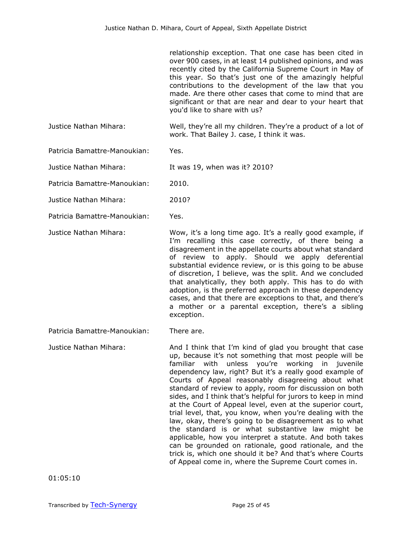relationship exception. That one case has been cited in over 900 cases, in at least 14 published opinions, and was recently cited by the California Supreme Court in May of this year. So that's just one of the amazingly helpful contributions to the development of the law that you made. Are there other cases that come to mind that are significant or that are near and dear to your heart that you'd like to share with us?

Justice Nathan Mihara: Well, they're all my children. They're a product of a lot of work. That Bailey J. case, I think it was.

Patricia Bamattre-Manoukian: Yes.

Justice Nathan Mihara: It was 19, when was it? 2010?

Patricia Bamattre-Manoukian: 2010.

Justice Nathan Mihara: 2010?

Patricia Bamattre-Manoukian: Yes.

Justice Nathan Mihara: Wow, it's a long time ago. It's a really good example, if I'm recalling this case correctly, of there being a disagreement in the appellate courts about what standard of review to apply. Should we apply deferential substantial evidence review, or is this going to be abuse of discretion, I believe, was the split. And we concluded that analytically, they both apply. This has to do with adoption, is the preferred approach in these dependency cases, and that there are exceptions to that, and there's a mother or a parental exception, there's a sibling

exception.

Patricia Bamattre-Manoukian: There are.

Justice Nathan Mihara: And I think that I'm kind of glad you brought that case up, because it's not something that most people will be familiar with unless you're working in juvenile dependency law, right? But it's a really good example of Courts of Appeal reasonably disagreeing about what standard of review to apply, room for discussion on both sides, and I think that's helpful for jurors to keep in mind at the Court of Appeal level, even at the superior court, trial level, that, you know, when you're dealing with the law, okay, there's going to be disagreement as to what the standard is or what substantive law might be applicable, how you interpret a statute. And both takes can be grounded on rationale, good rationale, and the trick is, which one should it be? And that's where Courts of Appeal come in, where the Supreme Court comes in.

01:05:10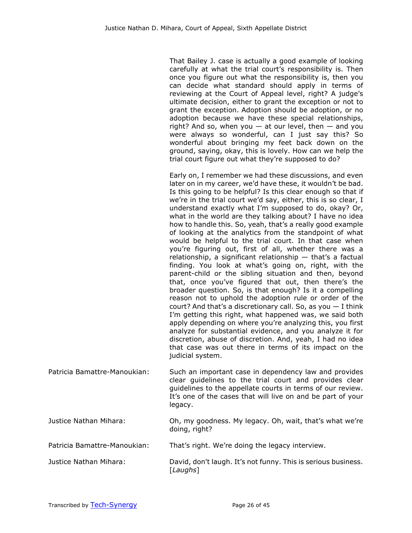That Bailey J. case is actually a good example of looking carefully at what the trial court's responsibility is. Then once you figure out what the responsibility is, then you can decide what standard should apply in terms of reviewing at the Court of Appeal level, right? A judge's ultimate decision, either to grant the exception or not to grant the exception. Adoption should be adoption, or no adoption because we have these special relationships, right? And so, when you  $-$  at our level, then  $-$  and you were always so wonderful, can I just say this? So wonderful about bringing my feet back down on the ground, saying, okay, this is lovely. How can we help the trial court figure out what they're supposed to do?

Early on, I remember we had these discussions, and even later on in my career, we'd have these, it wouldn't be bad. Is this going to be helpful? Is this clear enough so that if we're in the trial court we'd say, either, this is so clear, I understand exactly what I'm supposed to do, okay? Or, what in the world are they talking about? I have no idea how to handle this. So, yeah, that's a really good example of looking at the analytics from the standpoint of what would be helpful to the trial court. In that case when you're figuring out, first of all, whether there was a relationship, a significant relationship  $-$  that's a factual finding. You look at what's going on, right, with the parent-child or the sibling situation and then, beyond that, once you've figured that out, then there's the broader question. So, is that enough? Is it a compelling reason not to uphold the adoption rule or order of the court? And that's a discretionary call. So, as you  $-$  I think I'm getting this right, what happened was, we said both apply depending on where you're analyzing this, you first analyze for substantial evidence, and you analyze it for discretion, abuse of discretion. And, yeah, I had no idea that case was out there in terms of its impact on the judicial system.

- Patricia Bamattre-Manoukian: Such an important case in dependency law and provides clear guidelines to the trial court and provides clear guidelines to the appellate courts in terms of our review. It's one of the cases that will live on and be part of your legacy.
- Justice Nathan Mihara: Oh, my goodness. My legacy. Oh, wait, that's what we're doing, right?
- Patricia Bamattre-Manoukian: That's right. We're doing the legacy interview.
- Justice Nathan Mihara: David, don't laugh. It's not funny. This is serious business. [*Laughs*]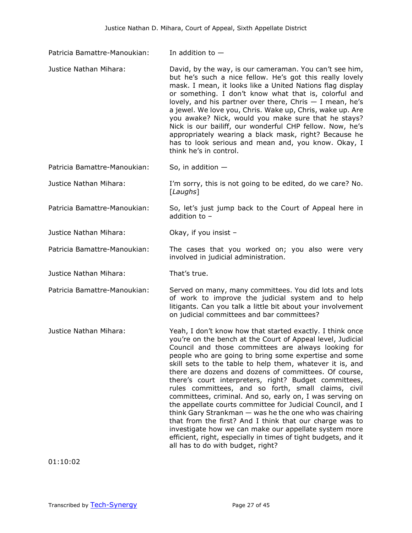- Patricia Bamattre-Manoukian: In addition to -
- Justice Nathan Mihara: David, by the way, is our cameraman. You can't see him, but he's such a nice fellow. He's got this really lovely mask. I mean, it looks like a United Nations flag display or something. I don't know what that is, colorful and lovely, and his partner over there, Chris  $-$  I mean, he's a jewel. We love you, Chris. Wake up, Chris, wake up. Are you awake? Nick, would you make sure that he stays? Nick is our bailiff, our wonderful CHP fellow. Now, he's appropriately wearing a black mask, right? Because he has to look serious and mean and, you know. Okay, I think he's in control.

Patricia Bamattre-Manoukian: So, in addition -

Justice Nathan Mihara: I'm sorry, this is not going to be edited, do we care? No. [*Laughs*]

Patricia Bamattre-Manoukian: So, let's just jump back to the Court of Appeal here in addition to –

Justice Nathan Mihara: Okay, if you insist –

## Patricia Bamattre-Manoukian: The cases that you worked on; you also were very involved in judicial administration.

Justice Nathan Mihara: That's true.

Patricia Bamattre-Manoukian: Served on many, many committees. You did lots and lots of work to improve the judicial system and to help litigants. Can you talk a little bit about your involvement

Justice Nathan Mihara: Yeah, I don't know how that started exactly. I think once you're on the bench at the Court of Appeal level, Judicial Council and those committees are always looking for people who are going to bring some expertise and some skill sets to the table to help them, whatever it is, and there are dozens and dozens of committees. Of course, there's court interpreters, right? Budget committees, rules committees, and so forth, small claims, civil committees, criminal. And so, early on, I was serving on the appellate courts committee for Judicial Council, and I think Gary Strankman — was he the one who was chairing that from the first? And I think that our charge was to investigate how we can make our appellate system more efficient, right, especially in times of tight budgets, and it all has to do with budget, right?

01:10:02

on judicial committees and bar committees?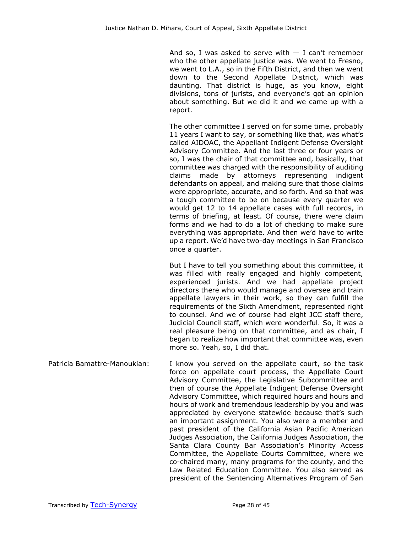And so, I was asked to serve with  $-$  I can't remember who the other appellate justice was. We went to Fresno, we went to L.A., so in the Fifth District, and then we went down to the Second Appellate District, which was daunting. That district is huge, as you know, eight divisions, tons of jurists, and everyone's got an opinion about something. But we did it and we came up with a report.

The other committee I served on for some time, probably 11 years I want to say, or something like that, was what's called AIDOAC, the Appellant Indigent Defense Oversight Advisory Committee. And the last three or four years or so, I was the chair of that committee and, basically, that committee was charged with the responsibility of auditing claims made by attorneys representing indigent defendants on appeal, and making sure that those claims were appropriate, accurate, and so forth. And so that was a tough committee to be on because every quarter we would get 12 to 14 appellate cases with full records, in terms of briefing, at least. Of course, there were claim forms and we had to do a lot of checking to make sure everything was appropriate. And then we'd have to write up a report. We'd have two-day meetings in San Francisco once a quarter.

But I have to tell you something about this committee, it was filled with really engaged and highly competent, experienced jurists. And we had appellate project directors there who would manage and oversee and train appellate lawyers in their work, so they can fulfill the requirements of the Sixth Amendment, represented right to counsel. And we of course had eight JCC staff there, Judicial Council staff, which were wonderful. So, it was a real pleasure being on that committee, and as chair, I began to realize how important that committee was, even more so. Yeah, so, I did that.

Patricia Bamattre-Manoukian: I know you served on the appellate court, so the task force on appellate court process, the Appellate Court Advisory Committee, the Legislative Subcommittee and then of course the Appellate Indigent Defense Oversight Advisory Committee, which required hours and hours and hours of work and tremendous leadership by you and was appreciated by everyone statewide because that's such an important assignment. You also were a member and past president of the California Asian Pacific American Judges Association, the California Judges Association, the Santa Clara County Bar Association's Minority Access Committee, the Appellate Courts Committee, where we co-chaired many, many programs for the county, and the Law Related Education Committee. You also served as president of the Sentencing Alternatives Program of San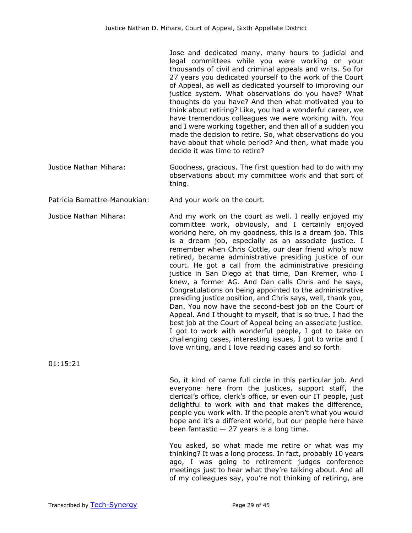Jose and dedicated many, many hours to judicial and legal committees while you were working on your thousands of civil and criminal appeals and writs. So for 27 years you dedicated yourself to the work of the Court of Appeal, as well as dedicated yourself to improving our justice system. What observations do you have? What thoughts do you have? And then what motivated you to think about retiring? Like, you had a wonderful career, we have tremendous colleagues we were working with. You and I were working together, and then all of a sudden you made the decision to retire. So, what observations do you have about that whole period? And then, what made you decide it was time to retire?

Justice Nathan Mihara: Goodness, gracious. The first question had to do with my observations about my committee work and that sort of thing.

Patricia Bamattre-Manoukian: And your work on the court.

Justice Nathan Mihara: And my work on the court as well. I really enjoyed my committee work, obviously, and I certainly enjoyed working here, oh my goodness, this is a dream job. This is a dream job, especially as an associate justice. I remember when Chris Cottle, our dear friend who's now retired, became administrative presiding justice of our court. He got a call from the administrative presiding justice in San Diego at that time, Dan Kremer, who I knew, a former AG. And Dan calls Chris and he says, Congratulations on being appointed to the administrative presiding justice position, and Chris says, well, thank you, Dan. You now have the second-best job on the Court of Appeal. And I thought to myself, that is so true, I had the best job at the Court of Appeal being an associate justice. I got to work with wonderful people, I got to take on challenging cases, interesting issues, I got to write and I love writing, and I love reading cases and so forth.

01:15:21

So, it kind of came full circle in this particular job. And everyone here from the justices, support staff, the clerical's office, clerk's office, or even our IT people, just delightful to work with and that makes the difference, people you work with. If the people aren't what you would hope and it's a different world, but our people here have been fantastic  $-27$  years is a long time.

You asked, so what made me retire or what was my thinking? It was a long process. In fact, probably 10 years ago, I was going to retirement judges conference meetings just to hear what they're talking about. And all of my colleagues say, you're not thinking of retiring, are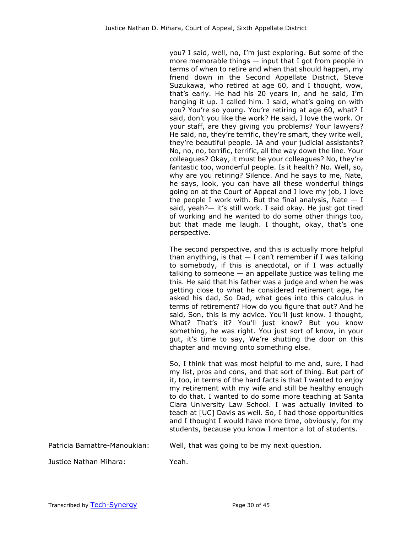you? I said, well, no, I'm just exploring. But some of the more memorable things — input that I got from people in terms of when to retire and when that should happen, my friend down in the Second Appellate District, Steve Suzukawa, who retired at age 60, and I thought, wow, that's early. He had his 20 years in, and he said, I'm hanging it up. I called him. I said, what's going on with you? You're so young. You're retiring at age 60, what? I said, don't you like the work? He said, I love the work. Or your staff, are they giving you problems? Your lawyers? He said, no, they're terrific, they're smart, they write well, they're beautiful people. JA and your judicial assistants? No, no, no, terrific, terrific, all the way down the line. Your colleagues? Okay, it must be your colleagues? No, they're fantastic too, wonderful people. Is it health? No. Well, so, why are you retiring? Silence. And he says to me, Nate, he says, look, you can have all these wonderful things going on at the Court of Appeal and I love my job, I love the people I work with. But the final analysis, Nate  $- I$ said, yeah?— it's still work. I said okay. He just got tired of working and he wanted to do some other things too, but that made me laugh. I thought, okay, that's one perspective.

The second perspective, and this is actually more helpful than anything, is that  $-$  I can't remember if I was talking to somebody, if this is anecdotal, or if I was actually talking to someone  $-$  an appellate justice was telling me this. He said that his father was a judge and when he was getting close to what he considered retirement age, he asked his dad, So Dad, what goes into this calculus in terms of retirement? How do you figure that out? And he said, Son, this is my advice. You'll just know. I thought, What? That's it? You'll just know? But you know something, he was right. You just sort of know, in your gut, it's time to say, We're shutting the door on this chapter and moving onto something else.

So, I think that was most helpful to me and, sure, I had my list, pros and cons, and that sort of thing. But part of it, too, in terms of the hard facts is that I wanted to enjoy my retirement with my wife and still be healthy enough to do that. I wanted to do some more teaching at Santa Clara University Law School. I was actually invited to teach at [UC] Davis as well. So, I had those opportunities and I thought I would have more time, obviously, for my students, because you know I mentor a lot of students.

Patricia Bamattre-Manoukian: Well, that was going to be my next question.

Justice Nathan Mihara: Yeah.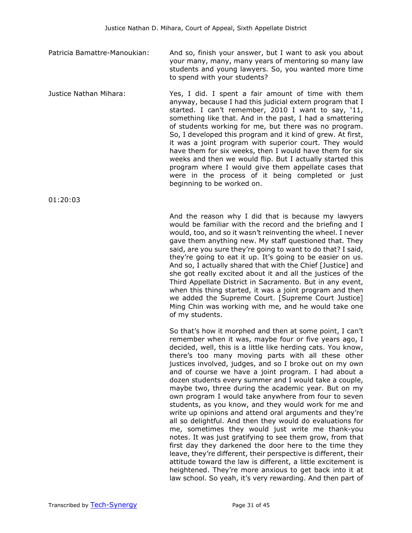- Patricia Bamattre-Manoukian: And so, finish your answer, but I want to ask you about your many, many, many years of mentoring so many law students and young lawyers. So, you wanted more time to spend with your students?
- Justice Nathan Mihara: Yes, I did. I spent a fair amount of time with them anyway, because I had this judicial extern program that I started. I can't remember, 2010 I want to say, '11, something like that. And in the past, I had a smattering of students working for me, but there was no program. So, I developed this program and it kind of grew. At first, it was a joint program with superior court. They would have them for six weeks, then I would have them for six weeks and then we would flip. But I actually started this program where I would give them appellate cases that were in the process of it being completed or just beginning to be worked on.

01:20:03

And the reason why I did that is because my lawyers would be familiar with the record and the briefing and I would, too, and so it wasn't reinventing the wheel. I never gave them anything new. My staff questioned that. They said, are you sure they're going to want to do that? I said, they're going to eat it up. It's going to be easier on us. And so, I actually shared that with the Chief [Justice] and she got really excited about it and all the justices of the Third Appellate District in Sacramento. But in any event, when this thing started, it was a joint program and then we added the Supreme Court. [Supreme Court Justice] Ming Chin was working with me, and he would take one of my students.

So that's how it morphed and then at some point, I can't remember when it was, maybe four or five years ago, I decided, well, this is a little like herding cats. You know, there's too many moving parts with all these other justices involved, judges, and so I broke out on my own and of course we have a joint program. I had about a dozen students every summer and I would take a couple, maybe two, three during the academic year. But on my own program I would take anywhere from four to seven students, as you know, and they would work for me and write up opinions and attend oral arguments and they're all so delightful. And then they would do evaluations for me, sometimes they would just write me thank-you notes. It was just gratifying to see them grow, from that first day they darkened the door here to the time they leave, they're different, their perspective is different, their attitude toward the law is different, a little excitement is heightened. They're more anxious to get back into it at law school. So yeah, it's very rewarding. And then part of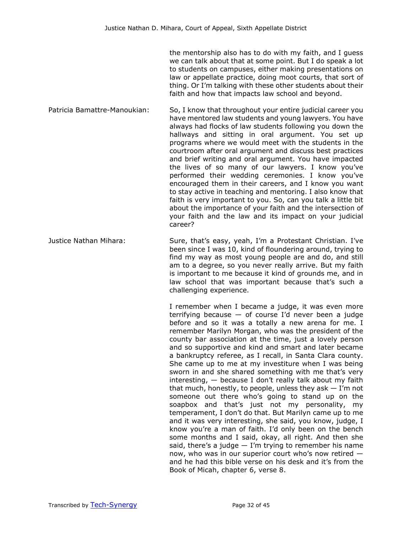the mentorship also has to do with my faith, and I guess we can talk about that at some point. But I do speak a lot to students on campuses, either making presentations on law or appellate practice, doing moot courts, that sort of thing. Or I'm talking with these other students about their faith and how that impacts law school and beyond.

Patricia Bamattre-Manoukian: So, I know that throughout your entire judicial career you have mentored law students and young lawyers. You have always had flocks of law students following you down the hallways and sitting in oral argument. You set up programs where we would meet with the students in the courtroom after oral argument and discuss best practices and brief writing and oral argument. You have impacted the lives of so many of our lawyers. I know you've performed their wedding ceremonies. I know you've encouraged them in their careers, and I know you want to stay active in teaching and mentoring. I also know that faith is very important to you. So, can you talk a little bit about the importance of your faith and the intersection of your faith and the law and its impact on your judicial career?

Justice Nathan Mihara: Sure, that's easy, yeah, I'm a Protestant Christian. I've been since I was 10, kind of floundering around, trying to find my way as most young people are and do, and still am to a degree, so you never really arrive. But my faith is important to me because it kind of grounds me, and in law school that was important because that's such a challenging experience.

> I remember when I became a judge, it was even more terrifying because  $-$  of course I'd never been a judge before and so it was a totally a new arena for me. I remember Marilyn Morgan, who was the president of the county bar association at the time, just a lovely person and so supportive and kind and smart and later became a bankruptcy referee, as I recall, in Santa Clara county. She came up to me at my investiture when I was being sworn in and she shared something with me that's very interesting, — because I don't really talk about my faith that much, honestly, to people, unless they ask  $-1$ 'm not someone out there who's going to stand up on the soapbox and that's just not my personality, my temperament, I don't do that. But Marilyn came up to me and it was very interesting, she said, you know, judge, I know you're a man of faith. I'd only been on the bench some months and I said, okay, all right. And then she said, there's a judge  $-$  I'm trying to remember his name now, who was in our superior court who's now retired and he had this bible verse on his desk and it's from the Book of Micah, chapter 6, verse 8.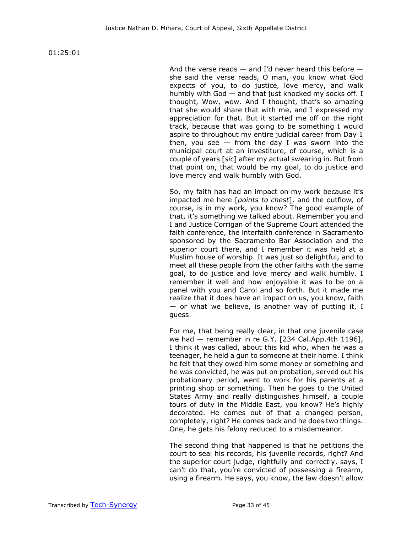01:25:01

And the verse reads  $-$  and I'd never heard this before  $$ she said the verse reads, O man, you know what God expects of you, to do justice, love mercy, and walk humbly with God — and that just knocked my socks off. I thought, Wow, wow. And I thought, that's so amazing that she would share that with me, and I expressed my appreciation for that. But it started me off on the right track, because that was going to be something I would aspire to throughout my entire judicial career from Day 1 then, you see  $-$  from the day I was sworn into the municipal court at an investiture, of course, which is a couple of years [*sic*] after my actual swearing in. But from that point on, that would be my goal, to do justice and love mercy and walk humbly with God.

So, my faith has had an impact on my work because it's impacted me here [*points to chest*], and the outflow, of course, is in my work, you know? The good example of that, it's something we talked about. Remember you and I and Justice Corrigan of the Supreme Court attended the faith conference, the interfaith conference in Sacramento sponsored by the Sacramento Bar Association and the superior court there, and I remember it was held at a Muslim house of worship. It was just so delightful, and to meet all these people from the other faiths with the same goal, to do justice and love mercy and walk humbly. I remember it well and how enjoyable it was to be on a panel with you and Carol and so forth. But it made me realize that it does have an impact on us, you know, faith  $-$  or what we believe, is another way of putting it, I guess.

For me, that being really clear, in that one juvenile case we had — remember in re G.Y. [234 Cal.App.4th 1196], I think it was called, about this kid who, when he was a teenager, he held a gun to someone at their home. I think he felt that they owed him some money or something and he was convicted, he was put on probation, served out his probationary period, went to work for his parents at a printing shop or something. Then he goes to the United States Army and really distinguishes himself, a couple tours of duty in the Middle East, you know? He's highly decorated. He comes out of that a changed person, completely, right? He comes back and he does two things. One, he gets his felony reduced to a misdemeanor.

The second thing that happened is that he petitions the court to seal his records, his juvenile records, right? And the superior court judge, rightfully and correctly, says, I can't do that, you're convicted of possessing a firearm, using a firearm. He says, you know, the law doesn't allow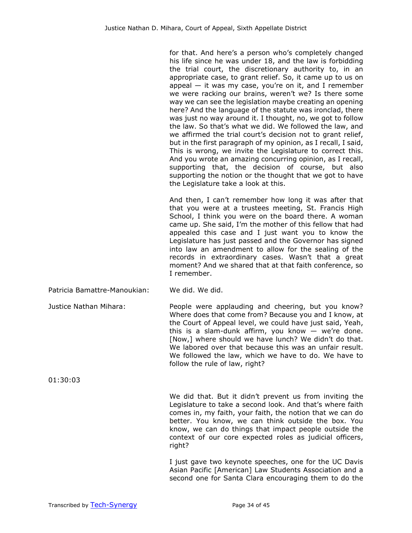for that. And here's a person who's completely changed his life since he was under 18, and the law is forbidding the trial court, the discretionary authority to, in an appropriate case, to grant relief. So, it came up to us on appeal  $-$  it was my case, you're on it, and I remember we were racking our brains, weren't we? Is there some way we can see the legislation maybe creating an opening here? And the language of the statute was ironclad, there was just no way around it. I thought, no, we got to follow the law. So that's what we did. We followed the law, and we affirmed the trial court's decision not to grant relief, but in the first paragraph of my opinion, as I recall, I said, This is wrong, we invite the Legislature to correct this. And you wrote an amazing concurring opinion, as I recall, supporting that, the decision of course, but also supporting the notion or the thought that we got to have the Legislature take a look at this.

And then, I can't remember how long it was after that that you were at a trustees meeting, St. Francis High School, I think you were on the board there. A woman came up. She said, I'm the mother of this fellow that had appealed this case and I just want you to know the Legislature has just passed and the Governor has signed into law an amendment to allow for the sealing of the records in extraordinary cases. Wasn't that a great moment? And we shared that at that faith conference, so I remember.

Patricia Bamattre-Manoukian: We did. We did.

Justice Nathan Mihara: People were applauding and cheering, but you know? Where does that come from? Because you and I know, at the Court of Appeal level, we could have just said, Yeah, this is a slam-dunk affirm, you know  $-$  we're done. [Now,] where should we have lunch? We didn't do that. We labored over that because this was an unfair result. We followed the law, which we have to do. We have to follow the rule of law, right?

01:30:03

We did that. But it didn't prevent us from inviting the Legislature to take a second look. And that's where faith comes in, my faith, your faith, the notion that we can do better. You know, we can think outside the box. You know, we can do things that impact people outside the context of our core expected roles as judicial officers, right?

I just gave two keynote speeches, one for the UC Davis Asian Pacific [American] Law Students Association and a second one for Santa Clara encouraging them to do the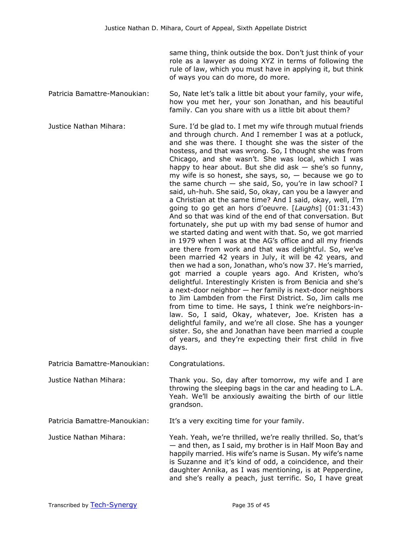same thing, think outside the box. Don't just think of your role as a lawyer as doing XYZ in terms of following the rule of law, which you must have in applying it, but think of ways you can do more, do more.

Patricia Bamattre-Manoukian: So, Nate let's talk a little bit about your family, your wife, how you met her, your son Jonathan, and his beautiful family. Can you share with us a little bit about them?

Justice Nathan Mihara: Sure. I'd be glad to. I met my wife through mutual friends and through church. And I remember I was at a potluck, and she was there. I thought she was the sister of the hostess, and that was wrong. So, I thought she was from Chicago, and she wasn't. She was local, which I was happy to hear about. But she did ask  $-$  she's so funny, my wife is so honest, she says, so,  $-$  because we go to the same church  $-$  she said, So, you're in law school? I said, uh-huh. She said, So, okay, can you be a lawyer and a Christian at the same time? And I said, okay, well, I'm going to go get an hors d'oeuvre. [*Laughs*] (01:31:43) And so that was kind of the end of that conversation. But fortunately, she put up with my bad sense of humor and we started dating and went with that. So, we got married in 1979 when I was at the AG's office and all my friends are there from work and that was delightful. So, we've been married 42 years in July, it will be 42 years, and then we had a son, Jonathan, who's now 37. He's married, got married a couple years ago. And Kristen, who's delightful. Interestingly Kristen is from Benicia and she's a next-door neighbor — her family is next-door neighbors to Jim Lambden from the First District. So, Jim calls me from time to time. He says, I think we're neighbors-inlaw. So, I said, Okay, whatever, Joe. Kristen has a delightful family, and we're all close. She has a younger sister. So, she and Jonathan have been married a couple of years, and they're expecting their first child in five days.

Patricia Bamattre-Manoukian: Congratulations.

Justice Nathan Mihara: Thank you. So, day after tomorrow, my wife and I are throwing the sleeping bags in the car and heading to L.A. Yeah. We'll be anxiously awaiting the birth of our little grandson.

Patricia Bamattre-Manoukian: It's a very exciting time for your family.

Justice Nathan Mihara: Yeah. Yeah, we're thrilled, we're really thrilled. So, that's — and then, as I said, my brother is in Half Moon Bay and happily married. His wife's name is Susan. My wife's name is Suzanne and it's kind of odd, a coincidence, and their daughter Annika, as I was mentioning, is at Pepperdine, and she's really a peach, just terrific. So, I have great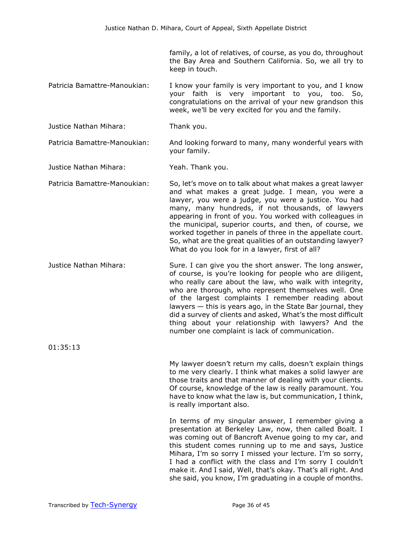family, a lot of relatives, of course, as you do, throughout the Bay Area and Southern California. So, we all try to keep in touch.

- Patricia Bamattre-Manoukian: I know your family is very important to you, and I know your faith is very important to you, too. So, congratulations on the arrival of your new grandson this week, we'll be very excited for you and the family.
- Justice Nathan Mihara: Thank you.

## Patricia Bamattre-Manoukian: And looking forward to many, many wonderful years with your family.

Justice Nathan Mihara: Yeah. Thank you.

Patricia Bamattre-Manoukian: So, let's move on to talk about what makes a great lawyer and what makes a great judge. I mean, you were a lawyer, you were a judge, you were a justice. You had many, many hundreds, if not thousands, of lawyers appearing in front of you. You worked with colleagues in the municipal, superior courts, and then, of course, we worked together in panels of three in the appellate court. So, what are the great qualities of an outstanding lawyer? What do you look for in a lawyer, first of all?

Justice Nathan Mihara: Sure. I can give you the short answer. The long answer, of course, is you're looking for people who are diligent, who really care about the law, who walk with integrity, who are thorough, who represent themselves well. One of the largest complaints I remember reading about lawyers — this is years ago, in the State Bar journal, they did a survey of clients and asked, What's the most difficult thing about your relationship with lawyers? And the number one complaint is lack of communication.

01:35:13

My lawyer doesn't return my calls, doesn't explain things to me very clearly. I think what makes a solid lawyer are those traits and that manner of dealing with your clients. Of course, knowledge of the law is really paramount. You have to know what the law is, but communication, I think, is really important also.

In terms of my singular answer, I remember giving a presentation at Berkeley Law, now, then called Boalt. I was coming out of Bancroft Avenue going to my car, and this student comes running up to me and says, Justice Mihara, I'm so sorry I missed your lecture. I'm so sorry, I had a conflict with the class and I'm sorry I couldn't make it. And I said, Well, that's okay. That's all right. And she said, you know, I'm graduating in a couple of months.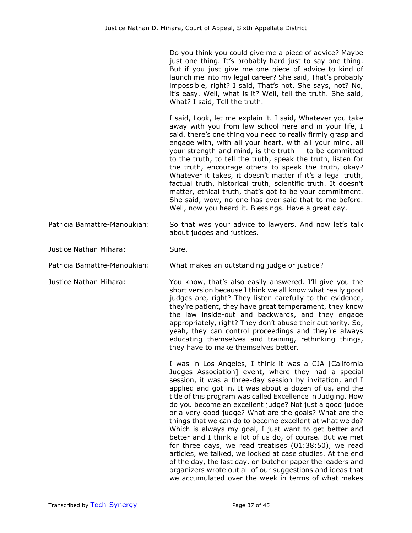Do you think you could give me a piece of advice? Maybe just one thing. It's probably hard just to say one thing. But if you just give me one piece of advice to kind of launch me into my legal career? She said, That's probably impossible, right? I said, That's not. She says, not? No, it's easy. Well, what is it? Well, tell the truth. She said, What? I said, Tell the truth.

I said, Look, let me explain it. I said, Whatever you take away with you from law school here and in your life, I said, there's one thing you need to really firmly grasp and engage with, with all your heart, with all your mind, all your strength and mind, is the truth  $-$  to be committed to the truth, to tell the truth, speak the truth, listen for the truth, encourage others to speak the truth, okay? Whatever it takes, it doesn't matter if it's a legal truth, factual truth, historical truth, scientific truth. It doesn't matter, ethical truth, that's got to be your commitment. She said, wow, no one has ever said that to me before. Well, now you heard it. Blessings. Have a great day.

Patricia Bamattre-Manoukian: So that was your advice to lawyers. And now let's talk about judges and justices.

Justice Nathan Mihara: Sure.

Patricia Bamattre-Manoukian: What makes an outstanding judge or justice?

Justice Nathan Mihara: You know, that's also easily answered. I'll give you the short version because I think we all know what really good judges are, right? They listen carefully to the evidence, they're patient, they have great temperament, they know the law inside-out and backwards, and they engage appropriately, right? They don't abuse their authority. So, yeah, they can control proceedings and they're always educating themselves and training, rethinking things, they have to make themselves better.

> I was in Los Angeles, I think it was a CJA [California Judges Association] event, where they had a special session, it was a three-day session by invitation, and I applied and got in. It was about a dozen of us, and the title of this program was called Excellence in Judging. How do you become an excellent judge? Not just a good judge or a very good judge? What are the goals? What are the things that we can do to become excellent at what we do? Which is always my goal, I just want to get better and better and I think a lot of us do, of course. But we met for three days, we read treatises (01:38:50), we read articles, we talked, we looked at case studies. At the end of the day, the last day, on butcher paper the leaders and organizers wrote out all of our suggestions and ideas that we accumulated over the week in terms of what makes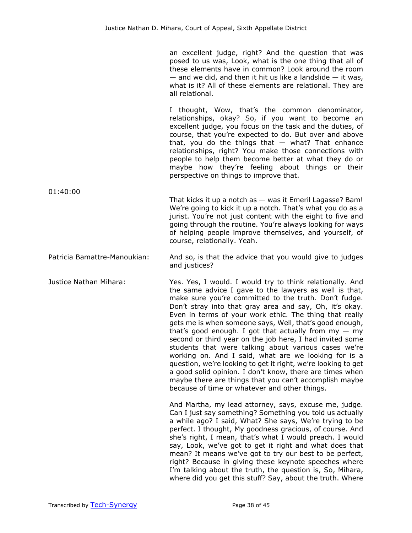an excellent judge, right? And the question that was posed to us was, Look, what is the one thing that all of these elements have in common? Look around the room  $-$  and we did, and then it hit us like a landslide  $-$  it was, what is it? All of these elements are relational. They are all relational.

I thought, Wow, that's the common denominator, relationships, okay? So, if you want to become an excellent judge, you focus on the task and the duties, of course, that you're expected to do. But over and above that, you do the things that  $-$  what? That enhance relationships, right? You make those connections with people to help them become better at what they do or maybe how they're feeling about things or their perspective on things to improve that.

- 01:40:00 That kicks it up a notch as — was it Emeril Lagasse? Bam! We're going to kick it up a notch. That's what you do as a jurist. You're not just content with the eight to five and going through the routine. You're always looking for ways of helping people improve themselves, and yourself, of course, relationally. Yeah.
- Patricia Bamattre-Manoukian: And so, is that the advice that you would give to judges and justices?

Justice Nathan Mihara: Yes. Yes, I would. I would try to think relationally. And the same advice I gave to the lawyers as well is that, make sure you're committed to the truth. Don't fudge. Don't stray into that gray area and say, Oh, it's okay. Even in terms of your work ethic. The thing that really gets me is when someone says, Well, that's good enough, that's good enough. I got that actually from  $my - my$ second or third year on the job here, I had invited some students that were talking about various cases we're working on. And I said, what are we looking for is a question, we're looking to get it right, we're looking to get a good solid opinion. I don't know, there are times when maybe there are things that you can't accomplish maybe because of time or whatever and other things.

> And Martha, my lead attorney, says, excuse me, judge. Can I just say something? Something you told us actually a while ago? I said, What? She says, We're trying to be perfect. I thought, My goodness gracious, of course. And she's right, I mean, that's what I would preach. I would say, Look, we've got to get it right and what does that mean? It means we've got to try our best to be perfect, right? Because in giving these keynote speeches where I'm talking about the truth, the question is, So, Mihara, where did you get this stuff? Say, about the truth. Where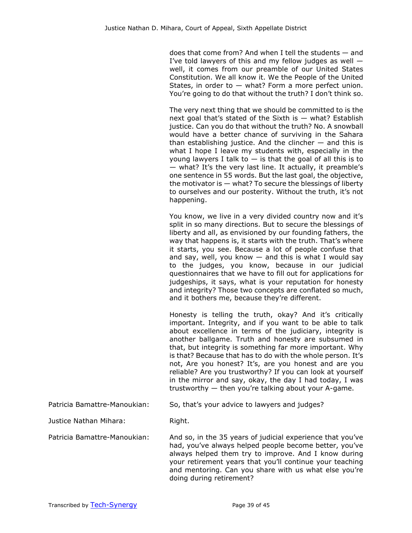does that come from? And when I tell the students — and I've told lawyers of this and my fellow judges as well  $$ well, it comes from our preamble of our United States Constitution. We all know it. We the People of the United States, in order to  $-$  what? Form a more perfect union. You're going to do that without the truth? I don't think so.

The very next thing that we should be committed to is the next goal that's stated of the Sixth is  $-$  what? Establish justice. Can you do that without the truth? No. A snowball would have a better chance of surviving in the Sahara than establishing justice. And the clincher  $-$  and this is what I hope I leave my students with, especially in the young lawyers I talk to  $-$  is that the goal of all this is to — what? It's the very last line. It actually, it preamble's one sentence in 55 words. But the last goal, the objective, the motivator is  $-$  what? To secure the blessings of liberty to ourselves and our posterity. Without the truth, it's not happening.

You know, we live in a very divided country now and it's split in so many directions. But to secure the blessings of liberty and all, as envisioned by our founding fathers, the way that happens is, it starts with the truth. That's where it starts, you see. Because a lot of people confuse that and say, well, you know  $-$  and this is what I would say to the judges, you know, because in our judicial questionnaires that we have to fill out for applications for judgeships, it says, what is your reputation for honesty and integrity? Those two concepts are conflated so much, and it bothers me, because they're different.

Honesty is telling the truth, okay? And it's critically important. Integrity, and if you want to be able to talk about excellence in terms of the judiciary, integrity is another ballgame. Truth and honesty are subsumed in that, but integrity is something far more important. Why is that? Because that has to do with the whole person. It's not, Are you honest? It's, are you honest and are you reliable? Are you trustworthy? If you can look at yourself in the mirror and say, okay, the day I had today, I was trustworthy — then you're talking about your A-game.

Patricia Bamattre-Manoukian: So, that's your advice to lawyers and judges?

Justice Nathan Mihara: Right.

Patricia Bamattre-Manoukian: And so, in the 35 years of judicial experience that you've had, you've always helped people become better, you've always helped them try to improve. And I know during your retirement years that you'll continue your teaching and mentoring. Can you share with us what else you're doing during retirement?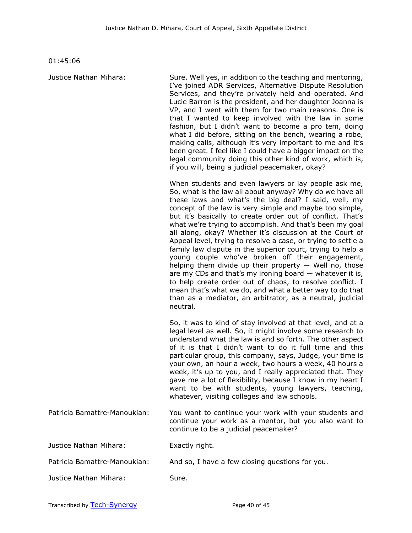01:45:06

Justice Nathan Mihara: Sure. Well yes, in addition to the teaching and mentoring, I've joined ADR Services, Alternative Dispute Resolution Services, and they're privately held and operated. And Lucie Barron is the president, and her daughter Joanna is VP, and I went with them for two main reasons. One is that I wanted to keep involved with the law in some fashion, but I didn't want to become a pro tem, doing what I did before, sitting on the bench, wearing a robe, making calls, although it's very important to me and it's been great. I feel like I could have a bigger impact on the legal community doing this other kind of work, which is, if you will, being a judicial peacemaker, okay? When students and even lawyers or lay people ask me, So, what is the law all about anyway? Why do we have all these laws and what's the big deal? I said, well, my concept of the law is very simple and maybe too simple, but it's basically to create order out of conflict. That's what we're trying to accomplish. And that's been my goal all along, okay? Whether it's discussion at the Court of Appeal level, trying to resolve a case, or trying to settle a family law dispute in the superior court, trying to help a young couple who've broken off their engagement, helping them divide up their property  $-$  Well no, those are my CDs and that's my ironing board  $-$  whatever it is, to help create order out of chaos, to resolve conflict. I mean that's what we do, and what a better way to do that than as a mediator, an arbitrator, as a neutral, judicial neutral. So, it was to kind of stay involved at that level, and at a legal level as well. So, it might involve some research to understand what the law is and so forth. The other aspect of it is that I didn't want to do it full time and this particular group, this company, says, Judge, your time is your own, an hour a week, two hours a week, 40 hours a week, it's up to you, and I really appreciated that. They gave me a lot of flexibility, because I know in my heart I want to be with students, young lawyers, teaching, whatever, visiting colleges and law schools. Patricia Bamattre-Manoukian: You want to continue your work with your students and continue your work as a mentor, but you also want to continue to be a judicial peacemaker? Justice Nathan Mihara: Exactly right.

Justice Nathan Mihara: Sure.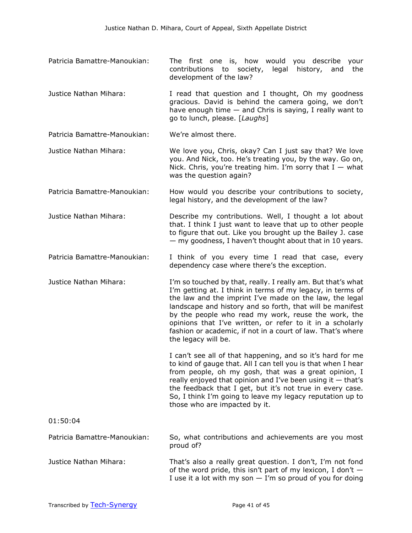- Patricia Bamattre-Manoukian: The first one is, how would you describe your contributions to society, legal history, and the development of the law?
- Justice Nathan Mihara: I read that question and I thought, Oh my goodness gracious. David is behind the camera going, we don't have enough time — and Chris is saying, I really want to go to lunch, please. [*Laughs*]

Patricia Bamattre-Manoukian: We're almost there.

- Justice Nathan Mihara: We love you, Chris, okay? Can I just say that? We love you. And Nick, too. He's treating you, by the way. Go on, Nick. Chris, you're treating him. I'm sorry that  $I - w$ hat was the question again?
- Patricia Bamattre-Manoukian: How would you describe your contributions to society, legal history, and the development of the law?
- Justice Nathan Mihara: Describe my contributions. Well, I thought a lot about that. I think I just want to leave that up to other people to figure that out. Like you brought up the Bailey J. case — my goodness, I haven't thought about that in 10 years.
- Patricia Bamattre-Manoukian: I think of you every time I read that case, every dependency case where there's the exception.
- Justice Nathan Mihara: I'm so touched by that, really. I really am. But that's what I'm getting at. I think in terms of my legacy, in terms of the law and the imprint I've made on the law, the legal landscape and history and so forth, that will be manifest by the people who read my work, reuse the work, the opinions that I've written, or refer to it in a scholarly fashion or academic, if not in a court of law. That's where the legacy will be.

I can't see all of that happening, and so it's hard for me to kind of gauge that. All I can tell you is that when I hear from people, oh my gosh, that was a great opinion, I really enjoyed that opinion and I've been using it  $-$  that's the feedback that I get, but it's not true in every case. So, I think I'm going to leave my legacy reputation up to those who are impacted by it.

## 01:50:04 Patricia Bamattre-Manoukian: So, what contributions and achievements are you most proud of?

Justice Nathan Mihara: That's also a really great question. I don't, I'm not fond of the word pride, this isn't part of my lexicon, I don't  $-$ I use it a lot with my son  $-$  I'm so proud of you for doing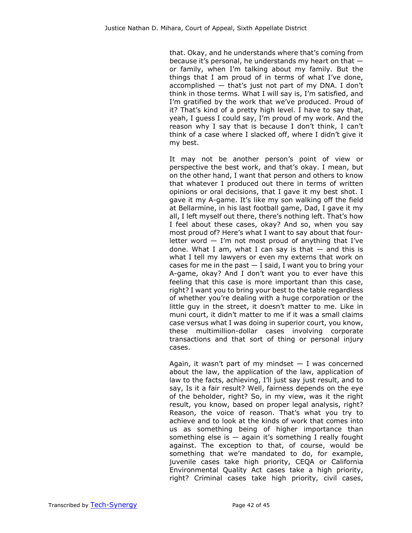that. Okay, and he understands where that's coming from because it's personal, he understands my heart on that or family, when I'm talking about my family. But the things that I am proud of in terms of what I've done, accomplished — that's just not part of my DNA. I don't think in those terms. What I will say is, I'm satisfied, and I'm gratified by the work that we've produced. Proud of it? That's kind of a pretty high level. I have to say that, yeah, I guess I could say, I'm proud of my work. And the reason why I say that is because I don't think, I can't think of a case where I slacked off, where I didn't give it my best.

It may not be another person's point of view or perspective the best work, and that's okay. I mean, but on the other hand, I want that person and others to know that whatever I produced out there in terms of written opinions or oral decisions, that I gave it my best shot. I gave it my A-game. It's like my son walking off the field at Bellarmine, in his last football game, Dad, I gave it my all, I left myself out there, there's nothing left. That's how I feel about these cases, okay? And so, when you say most proud of? Here's what I want to say about that fourletter word  $-$  I'm not most proud of anything that I've done. What I am, what I can say is that  $-$  and this is what I tell my lawyers or even my externs that work on cases for me in the past  $-$  I said, I want you to bring your A-game, okay? And I don't want you to ever have this feeling that this case is more important than this case, right? I want you to bring your best to the table regardless of whether you're dealing with a huge corporation or the little guy in the street, it doesn't matter to me. Like in muni court, it didn't matter to me if it was a small claims case versus what I was doing in superior court, you know, these multimillion-dollar cases involving corporate transactions and that sort of thing or personal injury cases.

Again, it wasn't part of my mindset  $-$  I was concerned about the law, the application of the law, application of law to the facts, achieving, I'll just say just result, and to say, Is it a fair result? Well, fairness depends on the eye of the beholder, right? So, in my view, was it the right result, you know, based on proper legal analysis, right? Reason, the voice of reason. That's what you try to achieve and to look at the kinds of work that comes into us as something being of higher importance than something else is  $-$  again it's something I really fought against. The exception to that, of course, would be something that we're mandated to do, for example, juvenile cases take high priority, CEQA or California Environmental Quality Act cases take a high priority, right? Criminal cases take high priority, civil cases,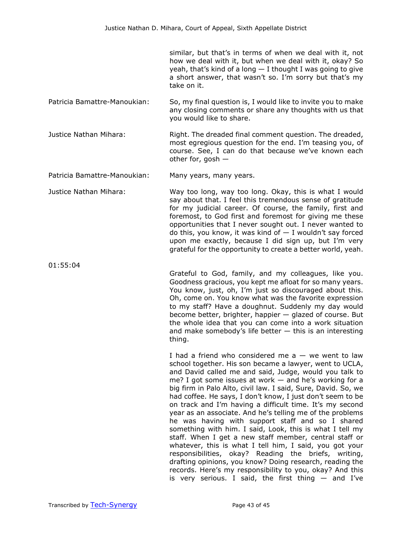similar, but that's in terms of when we deal with it, not how we deal with it, but when we deal with it, okay? So yeah, that's kind of a long  $-$  I thought I was going to give a short answer, that wasn't so. I'm sorry but that's my take on it.

- Patricia Bamattre-Manoukian: So, my final question is, I would like to invite you to make any closing comments or share any thoughts with us that you would like to share.
- Justice Nathan Mihara: Right. The dreaded final comment question. The dreaded, most egregious question for the end. I'm teasing you, of course. See, I can do that because we've known each other for, gosh —

Patricia Bamattre-Manoukian: Many years, many years.

Justice Nathan Mihara: Way too long, way too long. Okay, this is what I would say about that. I feel this tremendous sense of gratitude for my judicial career. Of course, the family, first and foremost, to God first and foremost for giving me these opportunities that I never sought out. I never wanted to do this, you know, it was kind of  $-$  I wouldn't say forced upon me exactly, because I did sign up, but I'm very grateful for the opportunity to create a better world, yeah.

thing.

Grateful to God, family, and my colleagues, like you. Goodness gracious, you kept me afloat for so many years. You know, just, oh, I'm just so discouraged about this. Oh, come on. You know what was the favorite expression to my staff? Have a doughnut. Suddenly my day would become better, brighter, happier — glazed of course. But the whole idea that you can come into a work situation and make somebody's life better  $-$  this is an interesting

> I had a friend who considered me  $a - w$ e went to law school together. His son became a lawyer, went to UCLA, and David called me and said, Judge, would you talk to me? I got some issues at work  $-$  and he's working for a big firm in Palo Alto, civil law. I said, Sure, David. So, we had coffee. He says, I don't know, I just don't seem to be on track and I'm having a difficult time. It's my second year as an associate. And he's telling me of the problems he was having with support staff and so I shared something with him. I said, Look, this is what I tell my staff. When I get a new staff member, central staff or whatever, this is what I tell him, I said, you got your responsibilities, okay? Reading the briefs, writing, drafting opinions, you know? Doing research, reading the records. Here's my responsibility to you, okay? And this is very serious. I said, the first thing  $-$  and I've

01:55:04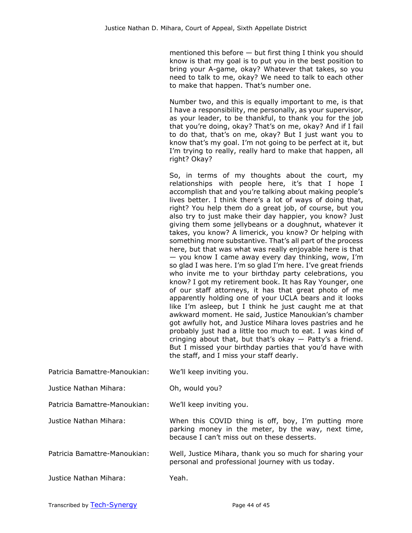mentioned this before — but first thing I think you should know is that my goal is to put you in the best position to bring your A-game, okay? Whatever that takes, so you need to talk to me, okay? We need to talk to each other to make that happen. That's number one.

Number two, and this is equally important to me, is that I have a responsibility, me personally, as your supervisor, as your leader, to be thankful, to thank you for the job that you're doing, okay? That's on me, okay? And if I fail to do that, that's on me, okay? But I just want you to know that's my goal. I'm not going to be perfect at it, but I'm trying to really, really hard to make that happen, all right? Okay?

So, in terms of my thoughts about the court, my relationships with people here, it's that I hope I accomplish that and you're talking about making people's lives better. I think there's a lot of ways of doing that, right? You help them do a great job, of course, but you also try to just make their day happier, you know? Just giving them some jellybeans or a doughnut, whatever it takes, you know? A limerick, you know? Or helping with something more substantive. That's all part of the process here, but that was what was really enjoyable here is that — you know I came away every day thinking, wow, I'm so glad I was here. I'm so glad I'm here. I've great friends who invite me to your birthday party celebrations, you know? I got my retirement book. It has Ray Younger, one of our staff attorneys, it has that great photo of me apparently holding one of your UCLA bears and it looks like I'm asleep, but I think he just caught me at that awkward moment. He said, Justice Manoukian's chamber got awfully hot, and Justice Mihara loves pastries and he probably just had a little too much to eat. I was kind of cringing about that, but that's okay — Patty's a friend. But I missed your birthday parties that you'd have with the staff, and I miss your staff dearly.

| Patricia Bamattre-Manoukian: | We'll keep inviting you. |
|------------------------------|--------------------------|
|------------------------------|--------------------------|

Justice Nathan Mihara: Oh, would you?

Patricia Bamattre-Manoukian: We'll keep inviting you.

Justice Nathan Mihara: When this COVID thing is off, boy, I'm putting more parking money in the meter, by the way, next time, because I can't miss out on these desserts.

Patricia Bamattre-Manoukian: Well, Justice Mihara, thank you so much for sharing your personal and professional journey with us today.

Justice Nathan Mihara: Yeah.